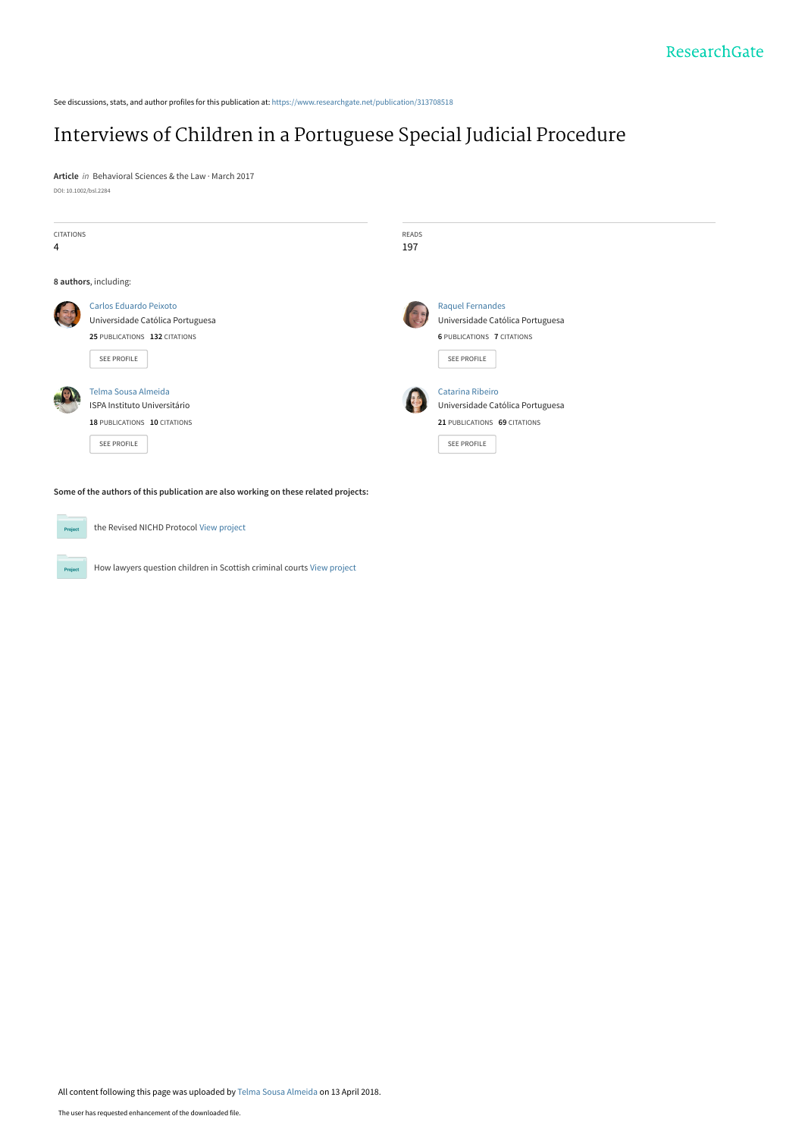See discussions, stats, and author profiles for this publication at: [https://www.researchgate.net/publication/313708518](https://www.researchgate.net/publication/313708518_Interviews_of_Children_in_a_Portuguese_Special_Judicial_Procedure?enrichId=rgreq-2bdbe26a3252b90461bcb0cca9aa20b7-XXX&enrichSource=Y292ZXJQYWdlOzMxMzcwODUxODtBUzo2MTQ5NzA0ODgyNjI2NjVAMTUyMzYzMTc5ODc1OQ%3D%3D&el=1_x_2&_esc=publicationCoverPdf)

# [Interviews of Children in a Portuguese Special Judicial Procedure](https://www.researchgate.net/publication/313708518_Interviews_of_Children_in_a_Portuguese_Special_Judicial_Procedure?enrichId=rgreq-2bdbe26a3252b90461bcb0cca9aa20b7-XXX&enrichSource=Y292ZXJQYWdlOzMxMzcwODUxODtBUzo2MTQ5NzA0ODgyNjI2NjVAMTUyMzYzMTc5ODc1OQ%3D%3D&el=1_x_3&_esc=publicationCoverPdf)

**Article** in Behavioral Sciences & the Law · March 2017 DOI: 10.1002/bsl.2284

| <b>CITATIONS</b><br>$\overline{4}$                                                  |                                                                                                            | READS<br>197 |                                                                                                                        |  |  |
|-------------------------------------------------------------------------------------|------------------------------------------------------------------------------------------------------------|--------------|------------------------------------------------------------------------------------------------------------------------|--|--|
|                                                                                     | 8 authors, including:                                                                                      |              |                                                                                                                        |  |  |
|                                                                                     | Carlos Eduardo Peixoto<br>Universidade Católica Portuguesa<br>25 PUBLICATIONS 132 CITATIONS<br>SEE PROFILE |              | <b>Raquel Fernandes</b><br>Universidade Católica Portuguesa<br><b>6 PUBLICATIONS 7 CITATIONS</b><br><b>SEE PROFILE</b> |  |  |
|                                                                                     | Telma Sousa Almeida<br><b>ISPA Instituto Universitário</b><br>18 PUBLICATIONS 10 CITATIONS<br>SEE PROFILE  |              | <b>Catarina Ribeiro</b><br>Universidade Católica Portuguesa<br>21 PUBLICATIONS 69 CITATIONS<br><b>SEE PROFILE</b>      |  |  |
| Some of the authors of this publication are also working on these related projects: |                                                                                                            |              |                                                                                                                        |  |  |
| Project                                                                             | the Revised NICHD Protocol View project                                                                    |              |                                                                                                                        |  |  |

All content following this page was uploaded by [Telma Sousa Almeida](https://www.researchgate.net/profile/Telma_Sousa_Almeida?enrichId=rgreq-2bdbe26a3252b90461bcb0cca9aa20b7-XXX&enrichSource=Y292ZXJQYWdlOzMxMzcwODUxODtBUzo2MTQ5NzA0ODgyNjI2NjVAMTUyMzYzMTc5ODc1OQ%3D%3D&el=1_x_10&_esc=publicationCoverPdf) on 13 April 2018.

How lawyers question children in Scottish criminal courts [View project](https://www.researchgate.net/project/How-lawyers-question-children-in-Scottish-criminal-courts?enrichId=rgreq-2bdbe26a3252b90461bcb0cca9aa20b7-XXX&enrichSource=Y292ZXJQYWdlOzMxMzcwODUxODtBUzo2MTQ5NzA0ODgyNjI2NjVAMTUyMzYzMTc5ODc1OQ%3D%3D&el=1_x_9&_esc=publicationCoverPdf)

Project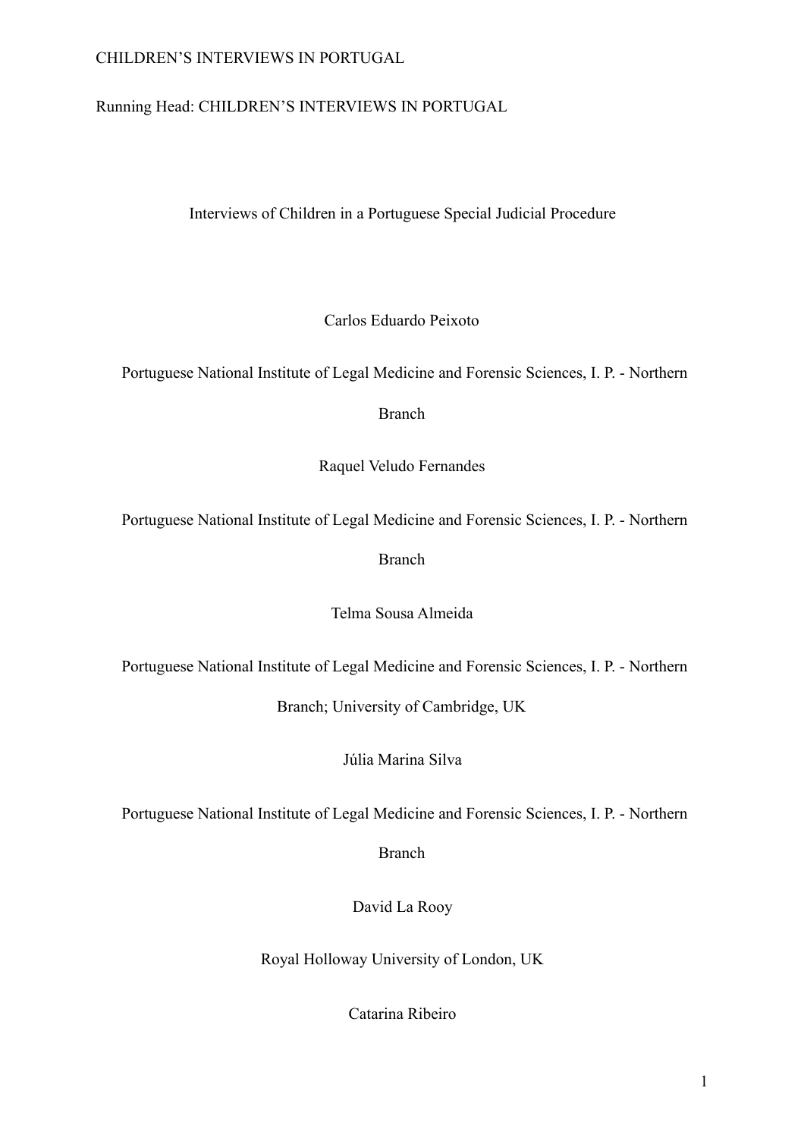## Running Head: CHILDREN'S INTERVIEWS IN PORTUGAL

Interviews of Children in a Portuguese Special Judicial Procedure

Carlos Eduardo Peixoto

Portuguese National Institute of Legal Medicine and Forensic Sciences, I. P. - Northern

Branch

Raquel Veludo Fernandes

Portuguese National Institute of Legal Medicine and Forensic Sciences, I. P. - Northern

Branch

Telma Sousa Almeida

Portuguese National Institute of Legal Medicine and Forensic Sciences, I. P. - Northern

Branch; University of Cambridge, UK

Júlia Marina Silva

Portuguese National Institute of Legal Medicine and Forensic Sciences, I. P. - Northern

Branch

David La Rooy

Royal Holloway University of London, UK

Catarina Ribeiro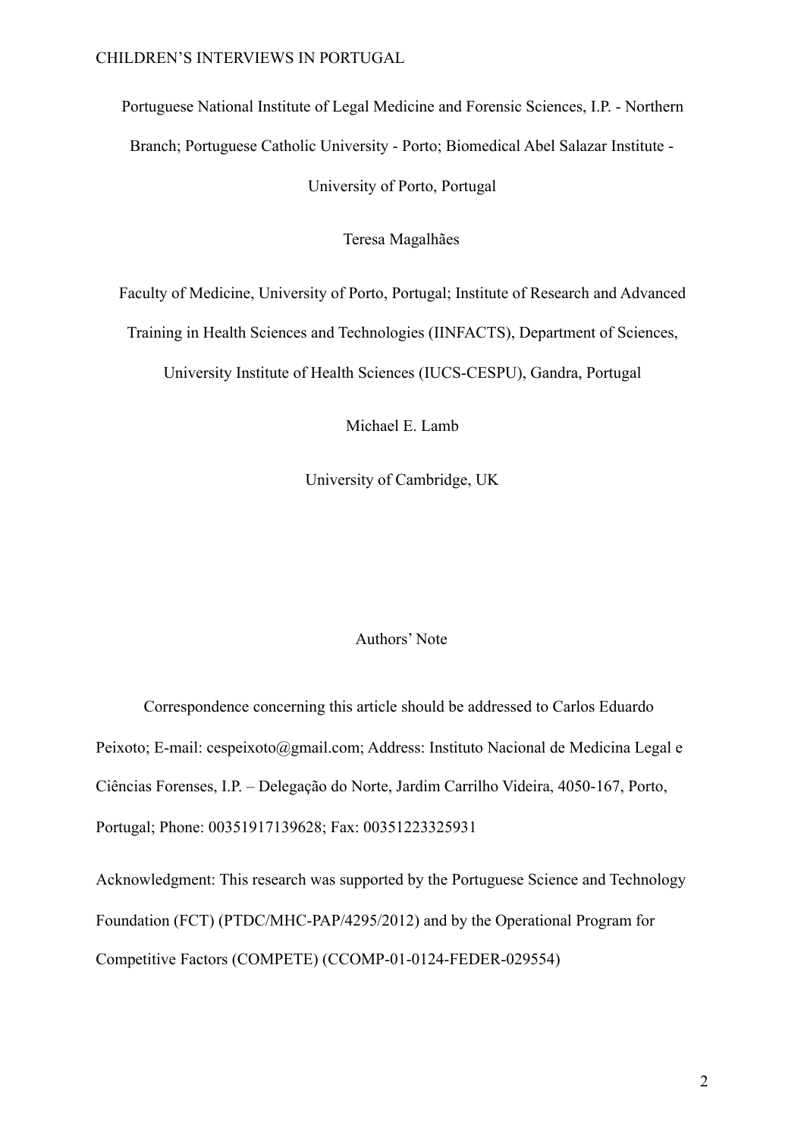Portuguese National Institute of Legal Medicine and Forensic Sciences, I.P. - Northern Branch; Portuguese Catholic University - Porto; Biomedical Abel Salazar Institute - University of Porto, Portugal

Teresa Magalhães

Faculty of Medicine, University of Porto, Portugal; Institute of Research and Advanced

Training in Health Sciences and Technologies (IINFACTS), Department of Sciences,

University Institute of Health Sciences (IUCS-CESPU), Gandra, Portugal

Michael E. Lamb

University of Cambridge, UK

#### Authors' Note

 Correspondence concerning this article should be addressed to Carlos Eduardo Peixoto; E-mail: cespeixoto@gmail.com; Address: Instituto Nacional de Medicina Legal e Ciências Forenses, I.P. – Delegação do Norte, Jardim Carrilho Videira, 4050-167, Porto, Portugal; Phone: 00351917139628; Fax: 00351223325931

Acknowledgment: This research was supported by the Portuguese Science and Technology Foundation (FCT) (PTDC/MHC-PAP/4295/2012) and by the Operational Program for Competitive Factors (COMPETE) (CCOMP-01-0124-FEDER-029554)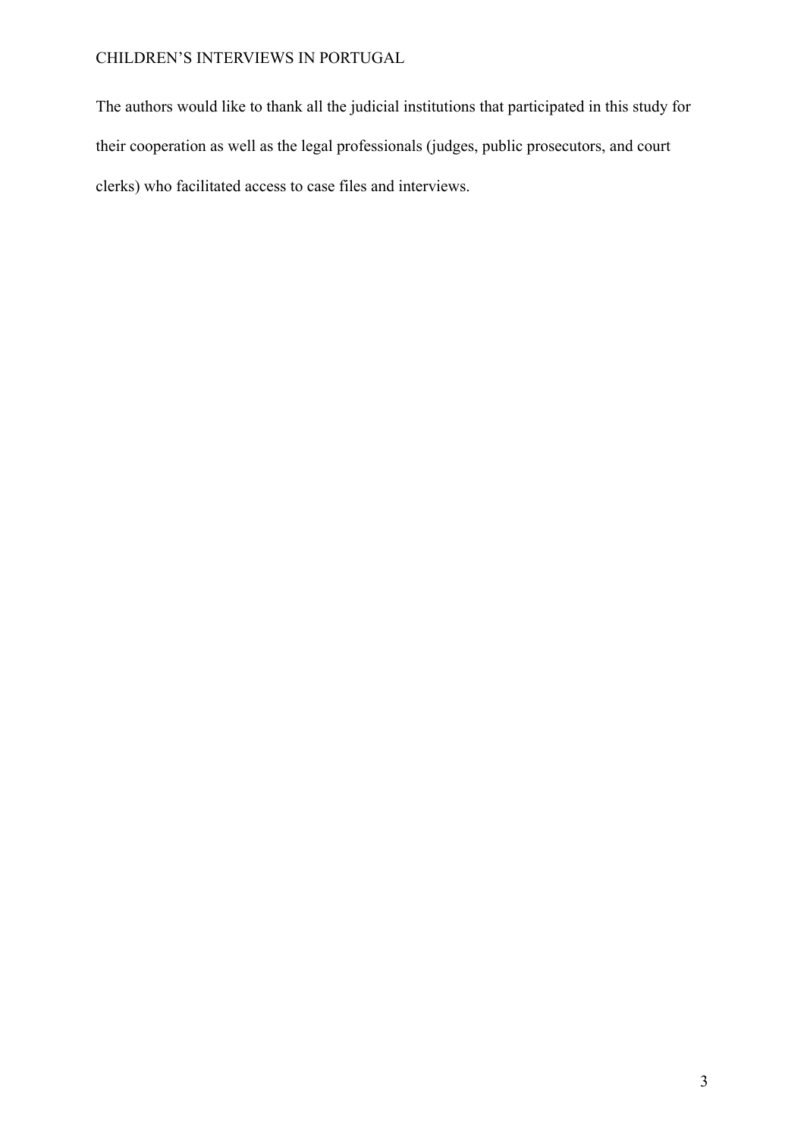The authors would like to thank all the judicial institutions that participated in this study for their cooperation as well as the legal professionals (judges, public prosecutors, and court clerks) who facilitated access to case files and interviews.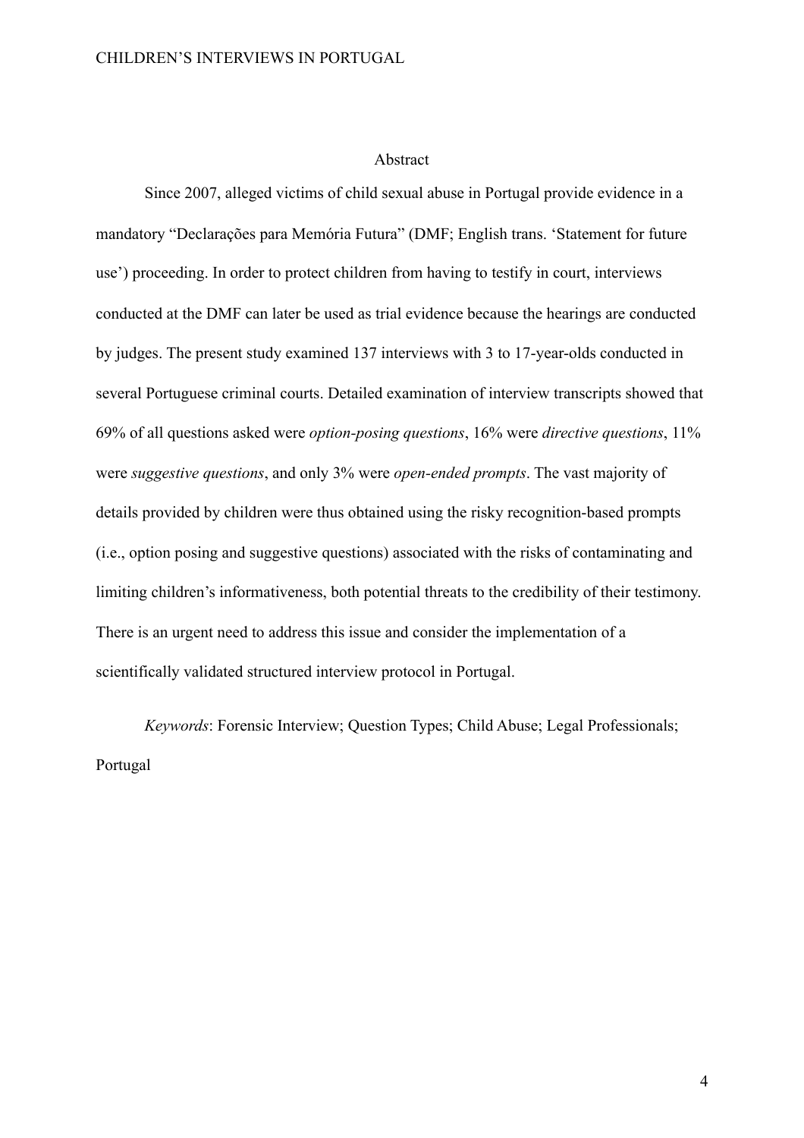#### Abstract

Since 2007, alleged victims of child sexual abuse in Portugal provide evidence in a mandatory "Declarações para Memória Futura" (DMF; English trans. 'Statement for future use') proceeding. In order to protect children from having to testify in court, interviews conducted at the DMF can later be used as trial evidence because the hearings are conducted by judges. The present study examined 137 interviews with 3 to 17-year-olds conducted in several Portuguese criminal courts. Detailed examination of interview transcripts showed that 69% of all questions asked were *option-posing questions*, 16% were *directive questions*, 11% were *suggestive questions*, and only 3% were *open-ended prompts*. The vast majority of details provided by children were thus obtained using the risky recognition-based prompts (i.e., option posing and suggestive questions) associated with the risks of contaminating and limiting children's informativeness, both potential threats to the credibility of their testimony. There is an urgent need to address this issue and consider the implementation of a scientifically validated structured interview protocol in Portugal.

*Keywords*: Forensic Interview; Question Types; Child Abuse; Legal Professionals; Portugal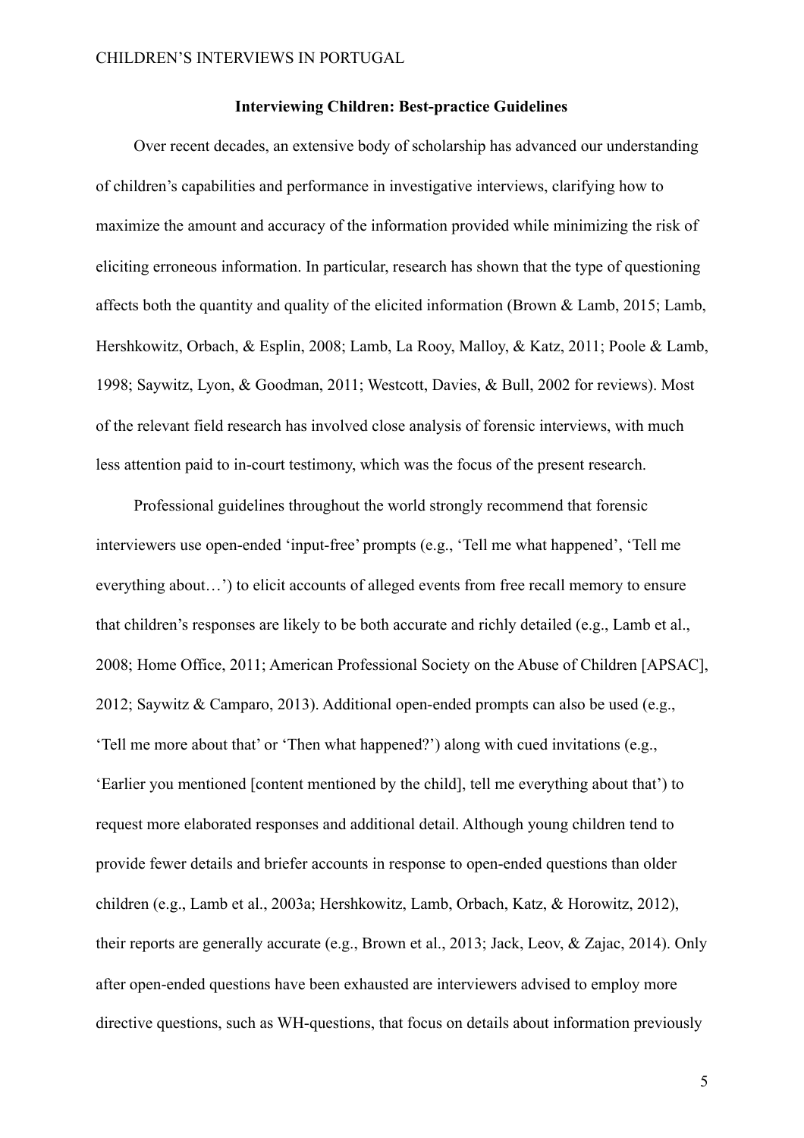#### **Interviewing Children: Best-practice Guidelines**

Over recent decades, an extensive body of scholarship has advanced our understanding of children's capabilities and performance in investigative interviews, clarifying how to maximize the amount and accuracy of the information provided while minimizing the risk of eliciting erroneous information. In particular, research has shown that the type of questioning affects both the quantity and quality of the elicited information (Brown & Lamb, 2015; Lamb, Hershkowitz, Orbach, & Esplin, 2008; Lamb, La Rooy, Malloy, & Katz, 2011; Poole & Lamb, 1998; Saywitz, Lyon, & Goodman, 2011; Westcott, Davies, & Bull, 2002 for reviews). Most of the relevant field research has involved close analysis of forensic interviews, with much less attention paid to in-court testimony, which was the focus of the present research.

Professional guidelines throughout the world strongly recommend that forensic interviewers use open-ended 'input-free' prompts (e.g., 'Tell me what happened', 'Tell me everything about…') to elicit accounts of alleged events from free recall memory to ensure that children's responses are likely to be both accurate and richly detailed (e.g., Lamb et al., 2008; Home Office, 2011; American Professional Society on the Abuse of Children [APSAC], 2012; Saywitz & Camparo, 2013). Additional open-ended prompts can also be used (e.g., 'Tell me more about that' or 'Then what happened?') along with cued invitations (e.g., 'Earlier you mentioned [content mentioned by the child], tell me everything about that') to request more elaborated responses and additional detail. Although young children tend to provide fewer details and briefer accounts in response to open-ended questions than older children (e.g., Lamb et al., 2003a; Hershkowitz, Lamb, Orbach, Katz, & Horowitz, 2012), their reports are generally accurate (e.g., Brown et al., 2013; Jack, Leov, & Zajac, 2014). Only after open-ended questions have been exhausted are interviewers advised to employ more directive questions, such as WH-questions, that focus on details about information previously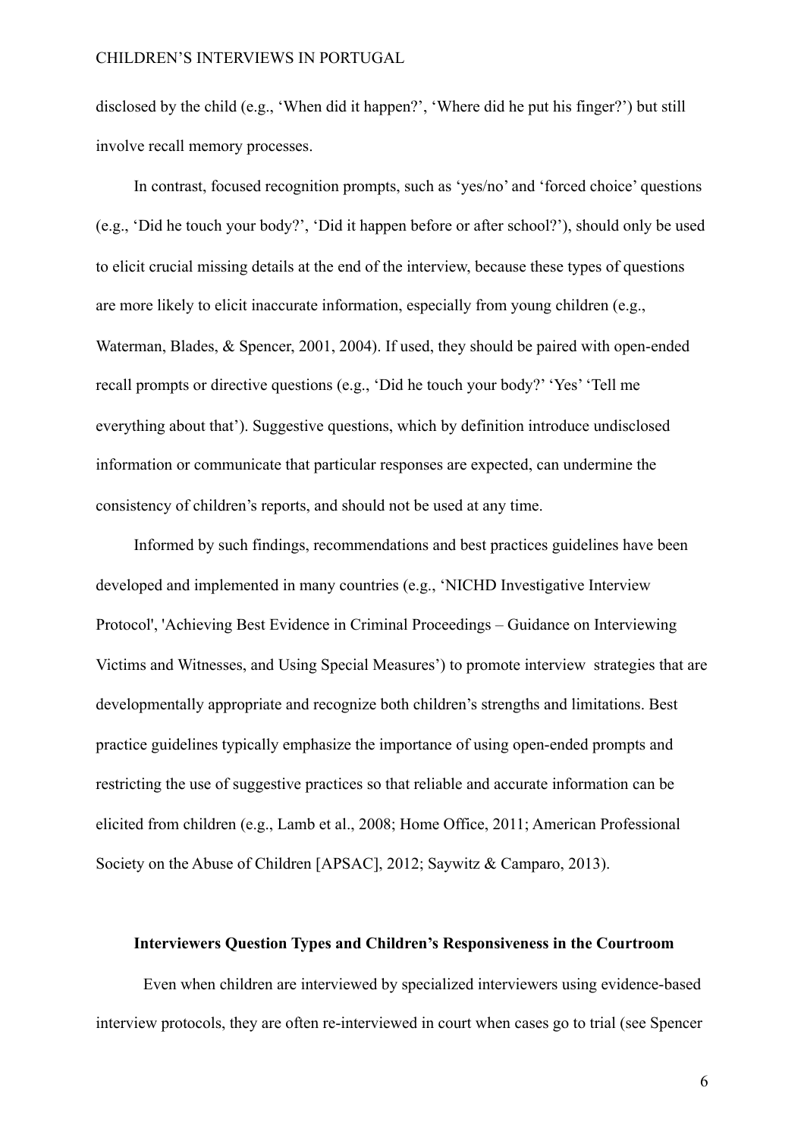disclosed by the child (e.g., 'When did it happen?', 'Where did he put his finger?') but still involve recall memory processes.

In contrast, focused recognition prompts, such as 'yes/no' and 'forced choice' questions (e.g., 'Did he touch your body?', 'Did it happen before or after school?'), should only be used to elicit crucial missing details at the end of the interview, because these types of questions are more likely to elicit inaccurate information, especially from young children (e.g., Waterman, Blades, & Spencer, 2001, 2004). If used, they should be paired with open-ended recall prompts or directive questions (e.g., 'Did he touch your body?' 'Yes' 'Tell me everything about that'). Suggestive questions, which by definition introduce undisclosed information or communicate that particular responses are expected, can undermine the consistency of children's reports, and should not be used at any time.

Informed by such findings, recommendations and best practices guidelines have been developed and implemented in many countries (e.g., 'NICHD Investigative Interview Protocol', 'Achieving Best Evidence in Criminal Proceedings – Guidance on Interviewing Victims and Witnesses, and Using Special Measures') to promote interview strategies that are developmentally appropriate and recognize both children's strengths and limitations. Best practice guidelines typically emphasize the importance of using open-ended prompts and restricting the use of suggestive practices so that reliable and accurate information can be elicited from children (e.g., Lamb et al., 2008; Home Office, 2011; American Professional Society on the Abuse of Children [APSAC], 2012; Saywitz & Camparo, 2013).

#### **Interviewers Question Types and Children's Responsiveness in the Courtroom**

Even when children are interviewed by specialized interviewers using evidence-based interview protocols, they are often re-interviewed in court when cases go to trial (see Spencer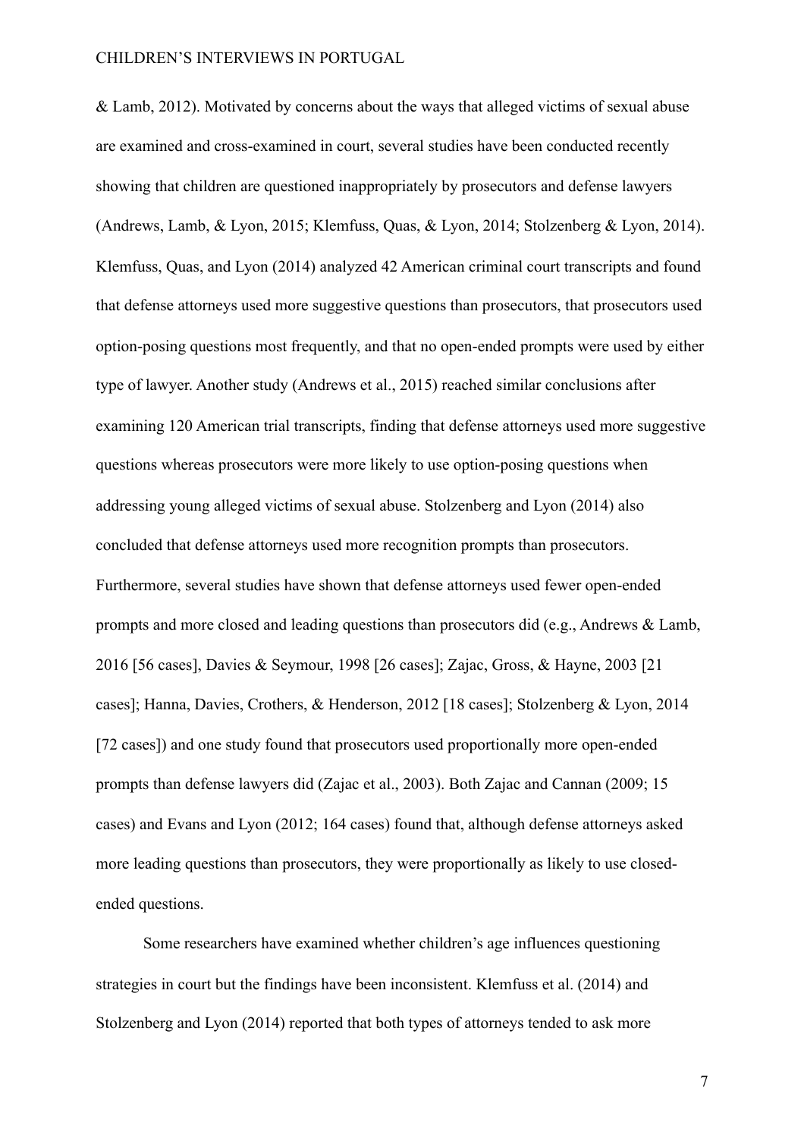& Lamb, 2012). Motivated by concerns about the ways that alleged victims of sexual abuse are examined and cross-examined in court, several studies have been conducted recently showing that children are questioned inappropriately by prosecutors and defense lawyers (Andrews, Lamb, & Lyon, 2015; Klemfuss, Quas, & Lyon, 2014; Stolzenberg & Lyon, 2014). Klemfuss, Quas, and Lyon (2014) analyzed 42 American criminal court transcripts and found that defense attorneys used more suggestive questions than prosecutors, that prosecutors used option-posing questions most frequently, and that no open-ended prompts were used by either type of lawyer. Another study (Andrews et al., 2015) reached similar conclusions after examining 120 American trial transcripts, finding that defense attorneys used more suggestive questions whereas prosecutors were more likely to use option-posing questions when addressing young alleged victims of sexual abuse. Stolzenberg and Lyon (2014) also concluded that defense attorneys used more recognition prompts than prosecutors. Furthermore, several studies have shown that defense attorneys used fewer open-ended prompts and more closed and leading questions than prosecutors did (e.g., Andrews & Lamb, 2016 [56 cases], Davies & Seymour, 1998 [26 cases]; Zajac, Gross, & Hayne, 2003 [21 cases]; Hanna, Davies, Crothers, & Henderson, 2012 [18 cases]; Stolzenberg & Lyon, 2014 [72 cases]) and one study found that prosecutors used proportionally more open-ended prompts than defense lawyers did (Zajac et al., 2003). Both Zajac and Cannan (2009; 15 cases) and Evans and Lyon (2012; 164 cases) found that, although defense attorneys asked more leading questions than prosecutors, they were proportionally as likely to use closedended questions.

Some researchers have examined whether children's age influences questioning strategies in court but the findings have been inconsistent. Klemfuss et al. (2014) and Stolzenberg and Lyon (2014) reported that both types of attorneys tended to ask more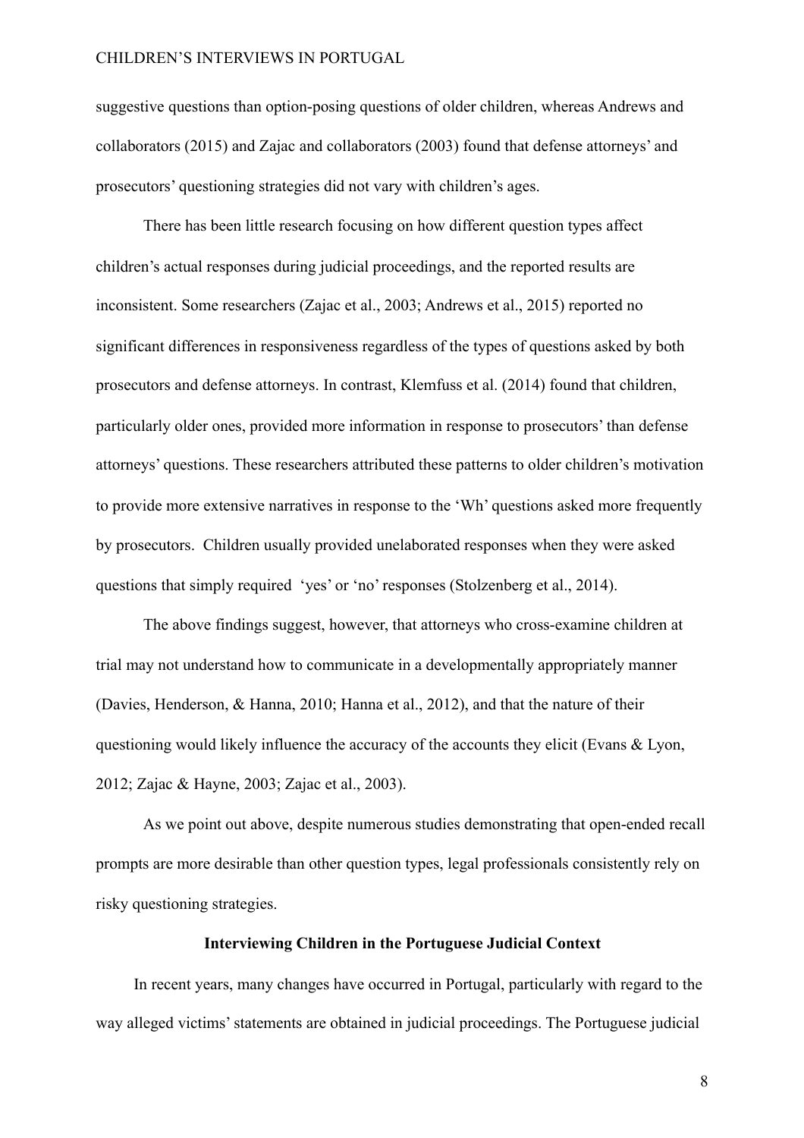suggestive questions than option-posing questions of older children, whereas Andrews and collaborators (2015) and Zajac and collaborators (2003) found that defense attorneys' and prosecutors' questioning strategies did not vary with children's ages.

There has been little research focusing on how different question types affect children's actual responses during judicial proceedings, and the reported results are inconsistent. Some researchers (Zajac et al., 2003; Andrews et al., 2015) reported no significant differences in responsiveness regardless of the types of questions asked by both prosecutors and defense attorneys. In contrast, Klemfuss et al. (2014) found that children, particularly older ones, provided more information in response to prosecutors' than defense attorneys' questions. These researchers attributed these patterns to older children's motivation to provide more extensive narratives in response to the 'Wh' questions asked more frequently by prosecutors. Children usually provided unelaborated responses when they were asked questions that simply required 'yes' or 'no' responses (Stolzenberg et al., 2014).

The above findings suggest, however, that attorneys who cross-examine children at trial may not understand how to communicate in a developmentally appropriately manner (Davies, Henderson, & Hanna, 2010; Hanna et al., 2012), and that the nature of their questioning would likely influence the accuracy of the accounts they elicit (Evans & Lyon, 2012; Zajac & Hayne, 2003; Zajac et al., 2003).

As we point out above, despite numerous studies demonstrating that open-ended recall prompts are more desirable than other question types, legal professionals consistently rely on risky questioning strategies.

#### **Interviewing Children in the Portuguese Judicial Context**

In recent years, many changes have occurred in Portugal, particularly with regard to the way alleged victims' statements are obtained in judicial proceedings. The Portuguese judicial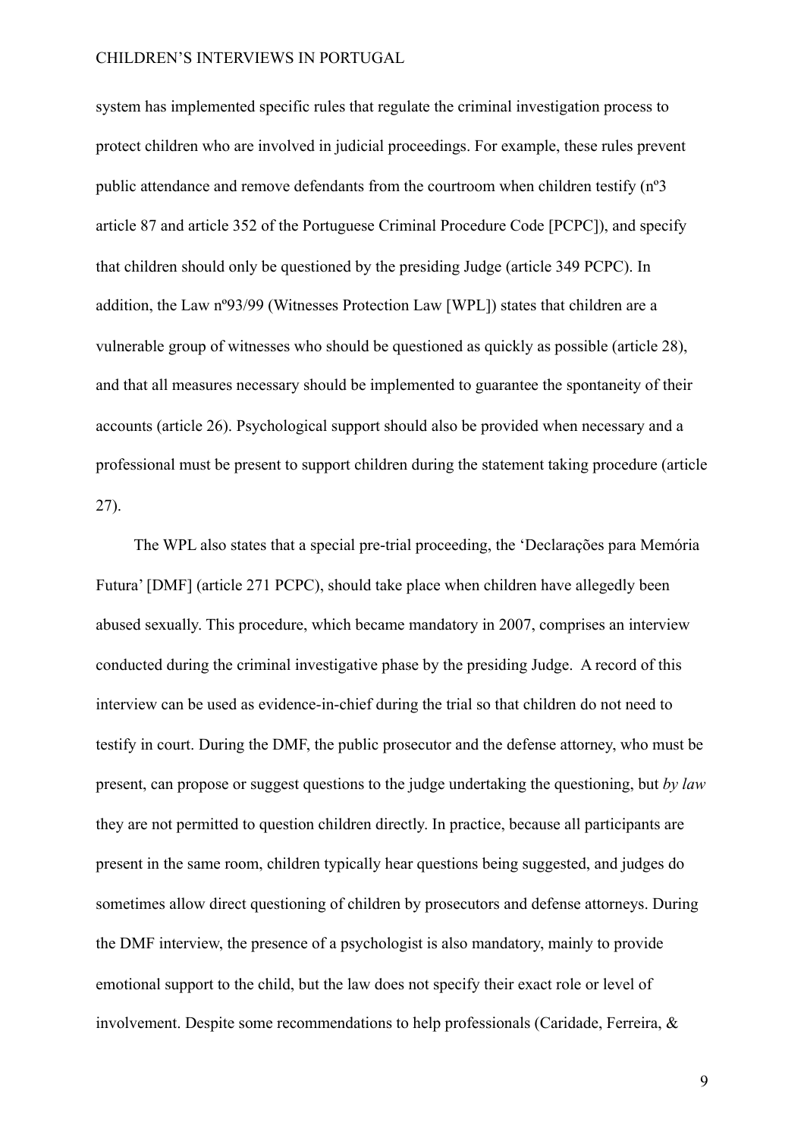system has implemented specific rules that regulate the criminal investigation process to protect children who are involved in judicial proceedings. For example, these rules prevent public attendance and remove defendants from the courtroom when children testify (nº3 article 87 and article 352 of the Portuguese Criminal Procedure Code [PCPC]), and specify that children should only be questioned by the presiding Judge (article 349 PCPC). In addition, the Law nº93/99 (Witnesses Protection Law [WPL]) states that children are a vulnerable group of witnesses who should be questioned as quickly as possible (article 28), and that all measures necessary should be implemented to guarantee the spontaneity of their accounts (article 26). Psychological support should also be provided when necessary and a professional must be present to support children during the statement taking procedure (article 27).

The WPL also states that a special pre-trial proceeding, the 'Declarações para Memória Futura' [DMF] (article 271 PCPC), should take place when children have allegedly been abused sexually. This procedure, which became mandatory in 2007, comprises an interview conducted during the criminal investigative phase by the presiding Judge. A record of this interview can be used as evidence-in-chief during the trial so that children do not need to testify in court. During the DMF, the public prosecutor and the defense attorney, who must be present, can propose or suggest questions to the judge undertaking the questioning, but *by law* they are not permitted to question children directly. In practice, because all participants are present in the same room, children typically hear questions being suggested, and judges do sometimes allow direct questioning of children by prosecutors and defense attorneys. During the DMF interview, the presence of a psychologist is also mandatory, mainly to provide emotional support to the child, but the law does not specify their exact role or level of involvement. Despite some recommendations to help professionals (Caridade, Ferreira, &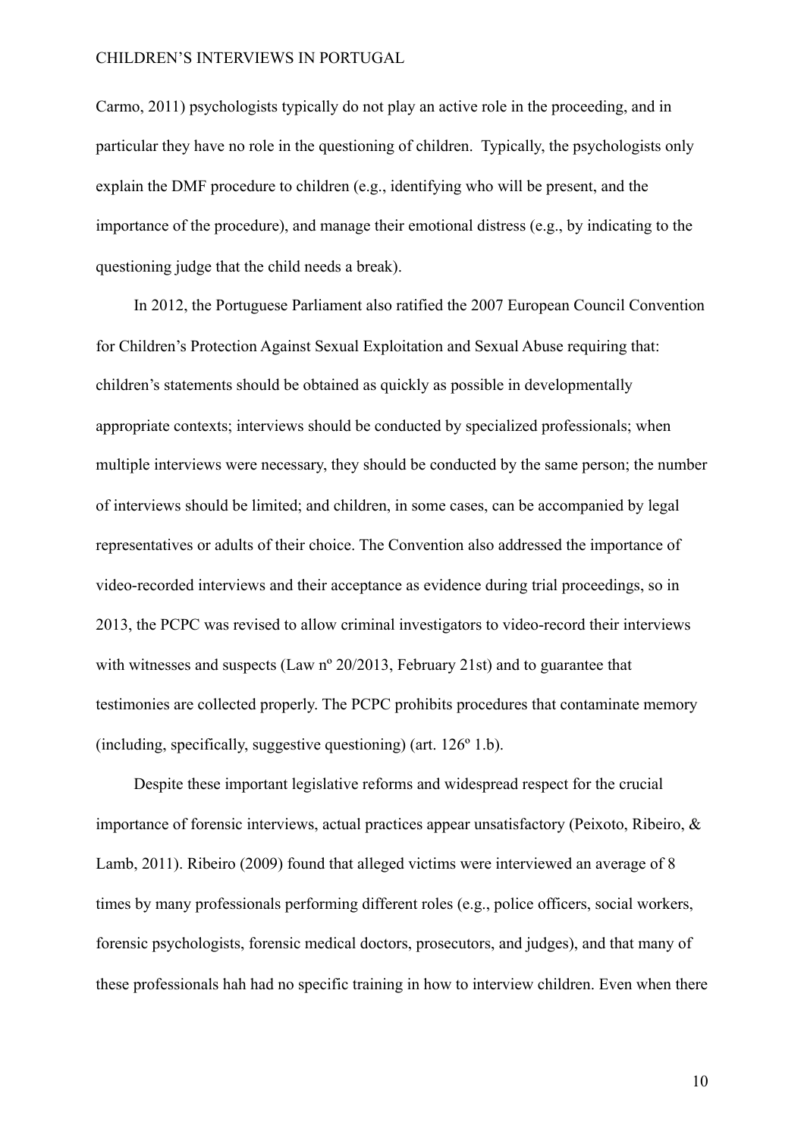Carmo, 2011) psychologists typically do not play an active role in the proceeding, and in particular they have no role in the questioning of children. Typically, the psychologists only explain the DMF procedure to children (e.g., identifying who will be present, and the importance of the procedure), and manage their emotional distress (e.g., by indicating to the questioning judge that the child needs a break).

In 2012, the Portuguese Parliament also ratified the 2007 European Council Convention for Children's Protection Against Sexual Exploitation and Sexual Abuse requiring that: children's statements should be obtained as quickly as possible in developmentally appropriate contexts; interviews should be conducted by specialized professionals; when multiple interviews were necessary, they should be conducted by the same person; the number of interviews should be limited; and children, in some cases, can be accompanied by legal representatives or adults of their choice. The Convention also addressed the importance of video-recorded interviews and their acceptance as evidence during trial proceedings, so in 2013, the PCPC was revised to allow criminal investigators to video-record their interviews with witnesses and suspects (Law n° 20/2013, February 21st) and to guarantee that testimonies are collected properly. The PCPC prohibits procedures that contaminate memory (including, specifically, suggestive questioning) (art. 126º 1.b).

Despite these important legislative reforms and widespread respect for the crucial importance of forensic interviews, actual practices appear unsatisfactory (Peixoto, Ribeiro, & Lamb, 2011). Ribeiro (2009) found that alleged victims were interviewed an average of 8 times by many professionals performing different roles (e.g., police officers, social workers, forensic psychologists, forensic medical doctors, prosecutors, and judges), and that many of these professionals hah had no specific training in how to interview children. Even when there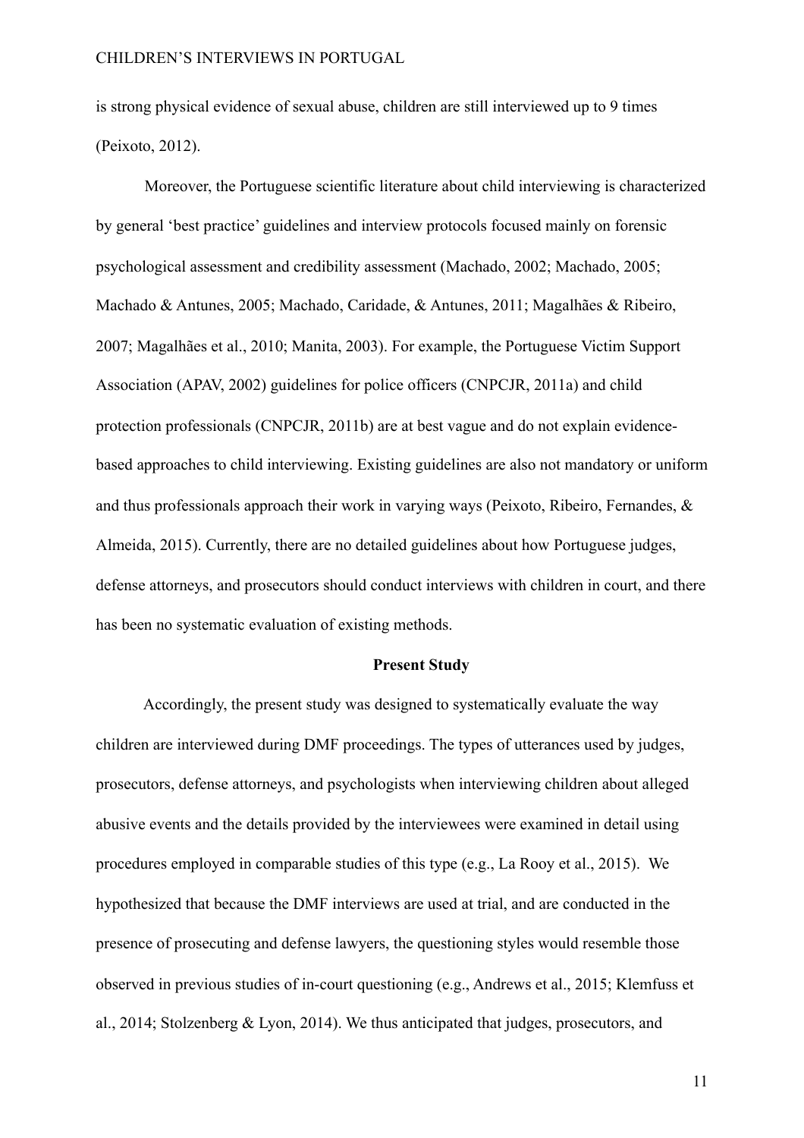is strong physical evidence of sexual abuse, children are still interviewed up to 9 times (Peixoto, 2012).

Moreover, the Portuguese scientific literature about child interviewing is characterized by general 'best practice' guidelines and interview protocols focused mainly on forensic psychological assessment and credibility assessment (Machado, 2002; Machado, 2005; Machado & Antunes, 2005; Machado, Caridade, & Antunes, 2011; Magalhães & Ribeiro, 2007; Magalhães et al., 2010; Manita, 2003). For example, the Portuguese Victim Support Association (APAV, 2002) guidelines for police officers (CNPCJR, 2011a) and child protection professionals (CNPCJR, 2011b) are at best vague and do not explain evidencebased approaches to child interviewing. Existing guidelines are also not mandatory or uniform and thus professionals approach their work in varying ways (Peixoto, Ribeiro, Fernandes, & Almeida, 2015). Currently, there are no detailed guidelines about how Portuguese judges, defense attorneys, and prosecutors should conduct interviews with children in court, and there has been no systematic evaluation of existing methods.

#### **Present Study**

Accordingly, the present study was designed to systematically evaluate the way children are interviewed during DMF proceedings. The types of utterances used by judges, prosecutors, defense attorneys, and psychologists when interviewing children about alleged abusive events and the details provided by the interviewees were examined in detail using procedures employed in comparable studies of this type (e.g., La Rooy et al., 2015). We hypothesized that because the DMF interviews are used at trial, and are conducted in the presence of prosecuting and defense lawyers, the questioning styles would resemble those observed in previous studies of in-court questioning (e.g., Andrews et al., 2015; Klemfuss et al., 2014; Stolzenberg & Lyon, 2014). We thus anticipated that judges, prosecutors, and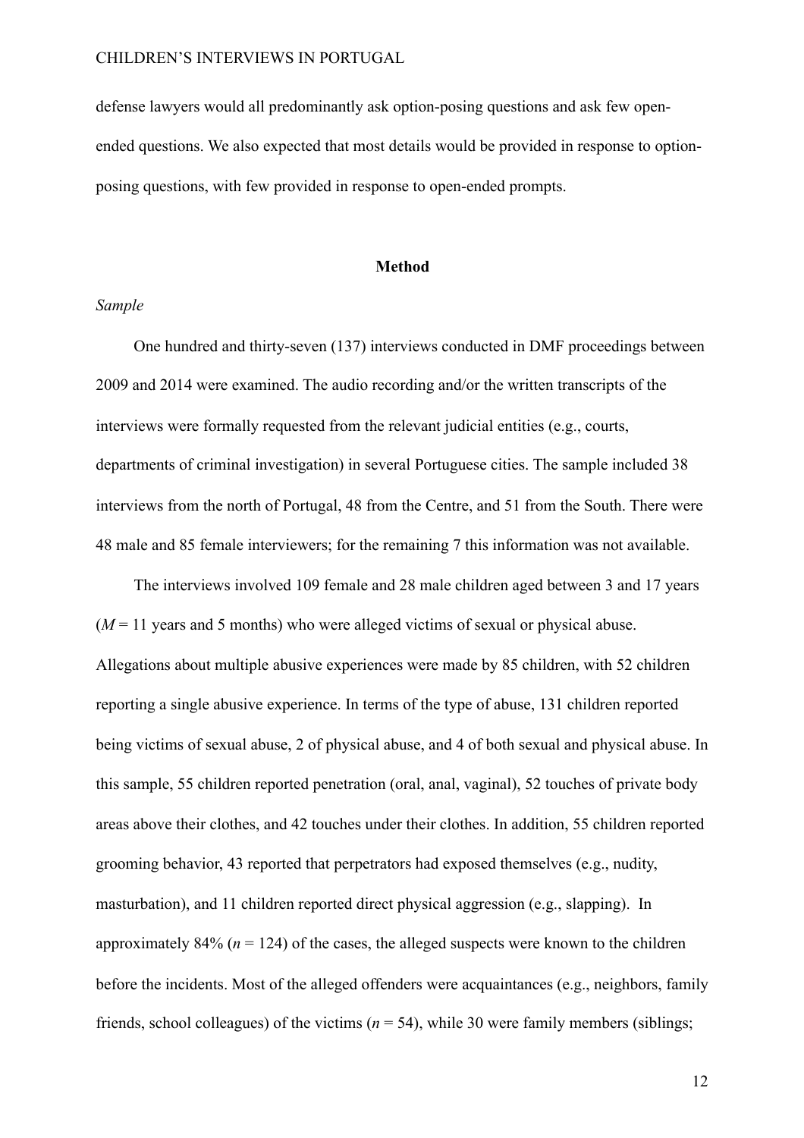defense lawyers would all predominantly ask option-posing questions and ask few openended questions. We also expected that most details would be provided in response to optionposing questions, with few provided in response to open-ended prompts.

#### **Method**

#### *Sample*

One hundred and thirty-seven (137) interviews conducted in DMF proceedings between 2009 and 2014 were examined. The audio recording and/or the written transcripts of the interviews were formally requested from the relevant judicial entities (e.g., courts, departments of criminal investigation) in several Portuguese cities. The sample included 38 interviews from the north of Portugal, 48 from the Centre, and 51 from the South. There were 48 male and 85 female interviewers; for the remaining 7 this information was not available.

The interviews involved 109 female and 28 male children aged between 3 and 17 years  $(M = 11$  years and 5 months) who were alleged victims of sexual or physical abuse. Allegations about multiple abusive experiences were made by 85 children, with 52 children reporting a single abusive experience. In terms of the type of abuse, 131 children reported being victims of sexual abuse, 2 of physical abuse, and 4 of both sexual and physical abuse. In this sample, 55 children reported penetration (oral, anal, vaginal), 52 touches of private body areas above their clothes, and 42 touches under their clothes. In addition, 55 children reported grooming behavior, 43 reported that perpetrators had exposed themselves (e.g., nudity, masturbation), and 11 children reported direct physical aggression (e.g., slapping). In approximately 84% ( $n = 124$ ) of the cases, the alleged suspects were known to the children before the incidents. Most of the alleged offenders were acquaintances (e.g., neighbors, family friends, school colleagues) of the victims (*n* = 54), while 30 were family members (siblings;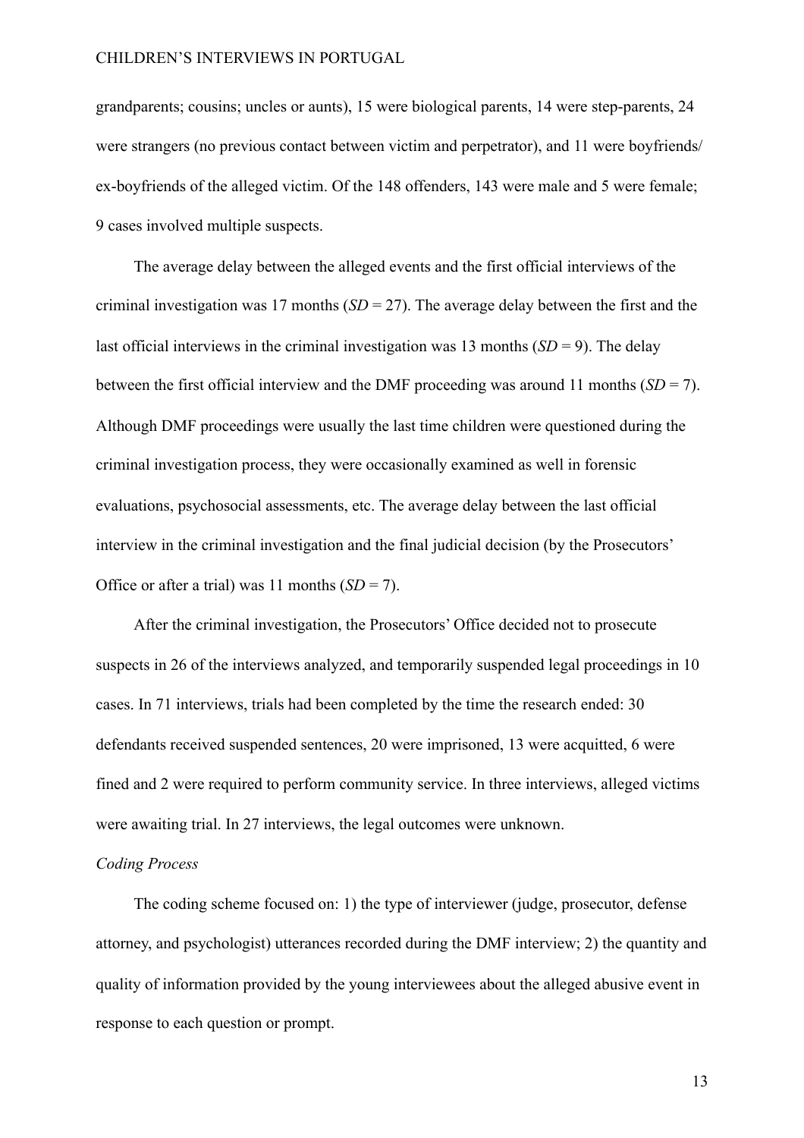grandparents; cousins; uncles or aunts), 15 were biological parents, 14 were step-parents, 24 were strangers (no previous contact between victim and perpetrator), and 11 were boyfriends/ ex-boyfriends of the alleged victim. Of the 148 offenders, 143 were male and 5 were female; 9 cases involved multiple suspects.

The average delay between the alleged events and the first official interviews of the criminal investigation was 17 months (*SD* = 27). The average delay between the first and the last official interviews in the criminal investigation was 13 months  $(SD = 9)$ . The delay between the first official interview and the DMF proceeding was around 11 months  $(SD = 7)$ . Although DMF proceedings were usually the last time children were questioned during the criminal investigation process, they were occasionally examined as well in forensic evaluations, psychosocial assessments, etc. The average delay between the last official interview in the criminal investigation and the final judicial decision (by the Prosecutors' Office or after a trial) was 11 months  $(SD = 7)$ .

After the criminal investigation, the Prosecutors' Office decided not to prosecute suspects in 26 of the interviews analyzed, and temporarily suspended legal proceedings in 10 cases. In 71 interviews, trials had been completed by the time the research ended: 30 defendants received suspended sentences, 20 were imprisoned, 13 were acquitted, 6 were fined and 2 were required to perform community service. In three interviews, alleged victims were awaiting trial. In 27 interviews, the legal outcomes were unknown.

#### *Coding Process*

The coding scheme focused on: 1) the type of interviewer (judge, prosecutor, defense attorney, and psychologist) utterances recorded during the DMF interview; 2) the quantity and quality of information provided by the young interviewees about the alleged abusive event in response to each question or prompt.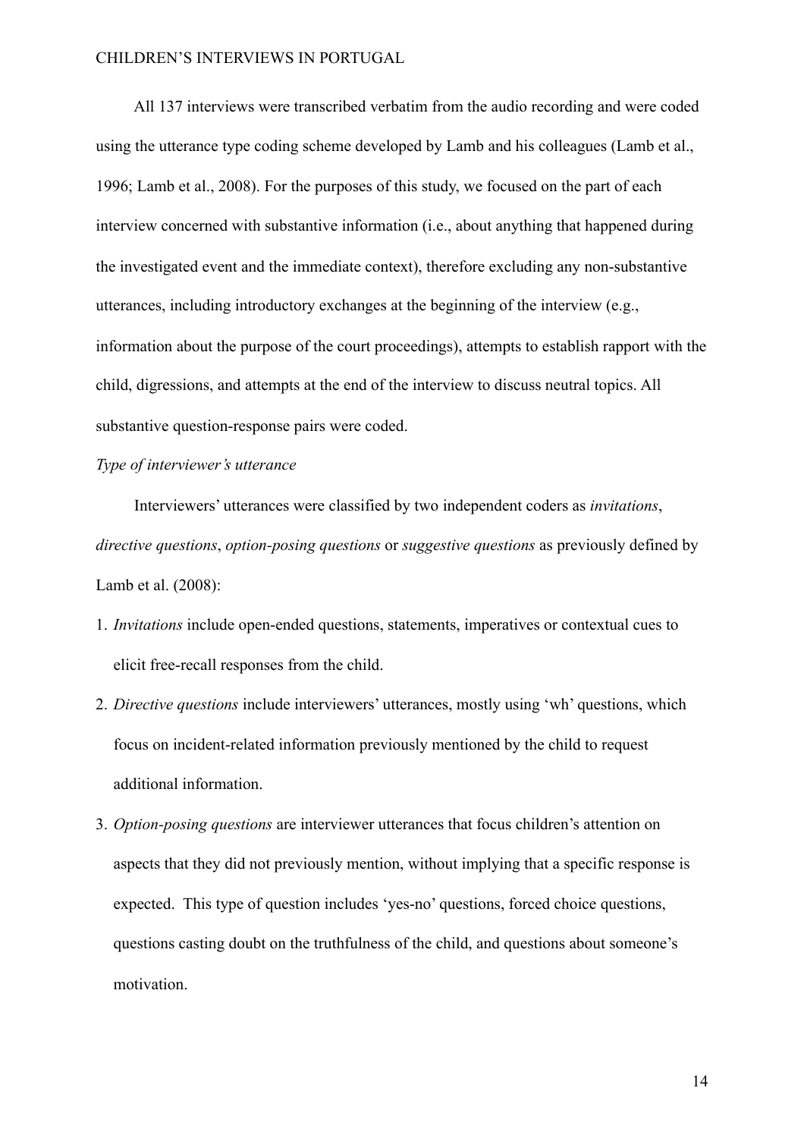All 137 interviews were transcribed verbatim from the audio recording and were coded using the utterance type coding scheme developed by Lamb and his colleagues (Lamb et al., 1996; Lamb et al., 2008). For the purposes of this study, we focused on the part of each interview concerned with substantive information (i.e., about anything that happened during the investigated event and the immediate context), therefore excluding any non-substantive utterances, including introductory exchanges at the beginning of the interview (e.g., information about the purpose of the court proceedings), attempts to establish rapport with the child, digressions, and attempts at the end of the interview to discuss neutral topics. All substantive question-response pairs were coded.

#### *Type of interviewer's utterance*

 Interviewers' utterances were classified by two independent coders as *invitations*, *directive questions*, *option-posing questions* or *suggestive questions* as previously defined by Lamb et al. (2008):

- 1. *Invitations* include open-ended questions, statements, imperatives or contextual cues to elicit free-recall responses from the child.
- 2. *Directive questions* include interviewers' utterances, mostly using 'wh' questions, which focus on incident-related information previously mentioned by the child to request additional information.
- 3. *Option-posing questions* are interviewer utterances that focus children's attention on aspects that they did not previously mention, without implying that a specific response is expected. This type of question includes 'yes-no' questions, forced choice questions, questions casting doubt on the truthfulness of the child, and questions about someone's motivation.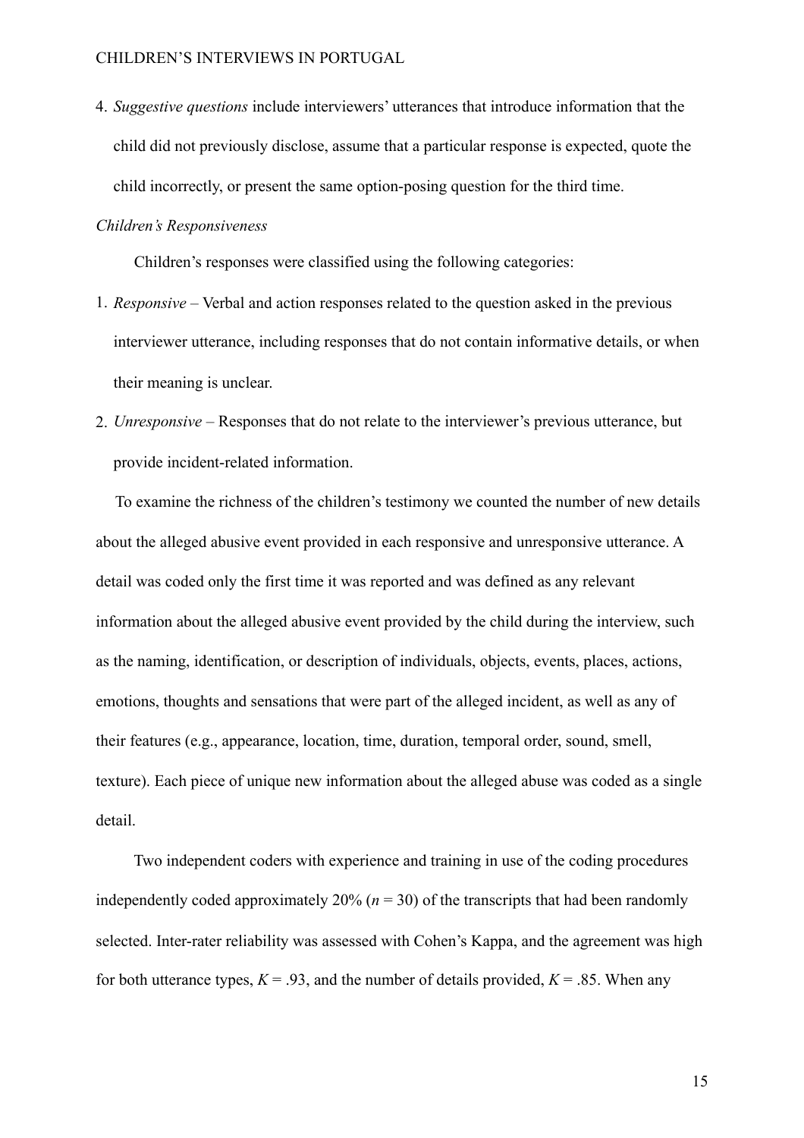4. *Suggestive questions* include interviewers' utterances that introduce information that the child did not previously disclose, assume that a particular response is expected, quote the child incorrectly, or present the same option-posing question for the third time.

#### *Children's Responsiveness*

Children's responses were classified using the following categories:

- 1. *Responsive* Verbal and action responses related to the question asked in the previous interviewer utterance, including responses that do not contain informative details, or when their meaning is unclear.
- 2. *Unresponsive* Responses that do not relate to the interviewer's previous utterance, but provide incident-related information.

 To examine the richness of the children's testimony we counted the number of new details about the alleged abusive event provided in each responsive and unresponsive utterance. A detail was coded only the first time it was reported and was defined as any relevant information about the alleged abusive event provided by the child during the interview, such as the naming, identification, or description of individuals, objects, events, places, actions, emotions, thoughts and sensations that were part of the alleged incident, as well as any of their features (e.g., appearance, location, time, duration, temporal order, sound, smell, texture). Each piece of unique new information about the alleged abuse was coded as a single detail.

Two independent coders with experience and training in use of the coding procedures independently coded approximately 20% ( $n = 30$ ) of the transcripts that had been randomly selected. Inter-rater reliability was assessed with Cohen's Kappa, and the agreement was high for both utterance types,  $K = .93$ , and the number of details provided,  $K = .85$ . When any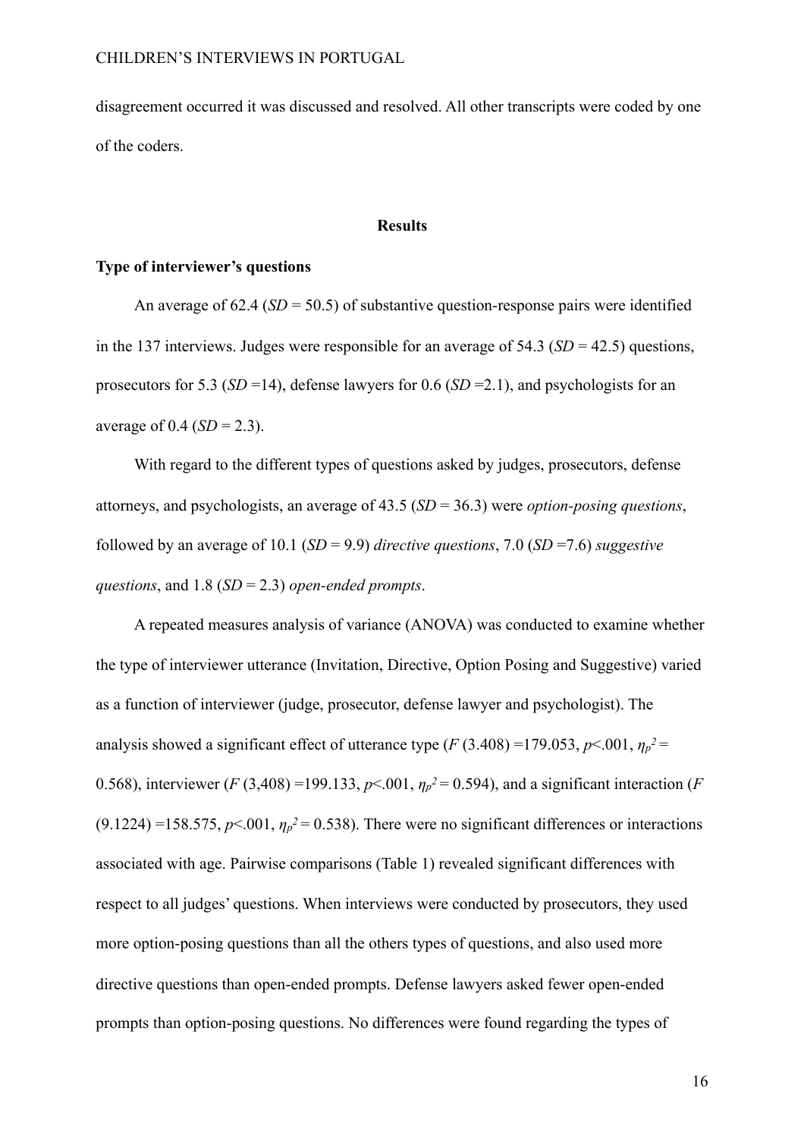disagreement occurred it was discussed and resolved. All other transcripts were coded by one of the coders.

#### **Results**

#### **Type of interviewer's questions**

An average of 62.4 (*SD* = 50.5) of substantive question-response pairs were identified in the 137 interviews. Judges were responsible for an average of 54.3 (*SD* = 42.5) questions, prosecutors for 5.3 (*SD* =14), defense lawyers for 0.6 (*SD* =2.1), and psychologists for an average of  $0.4$  (*SD* = 2.3).

 With regard to the different types of questions asked by judges, prosecutors, defense attorneys, and psychologists, an average of 43.5 (*SD* = 36.3) were *option-posing questions*, followed by an average of 10.1 (*SD* = 9.9) *directive questions*, 7.0 (*SD* =7.6) *suggestive questions*, and 1.8 (*SD* = 2.3) *open-ended prompts*.

A repeated measures analysis of variance (ANOVA) was conducted to examine whether the type of interviewer utterance (Invitation, Directive, Option Posing and Suggestive) varied as a function of interviewer (judge, prosecutor, defense lawyer and psychologist). The analysis showed a significant effect of utterance type ( $F(3.408)$  =179.053,  $p$ <.001,  $\eta_p^2$  = 0.568), interviewer (*F* (3,408) =199.133,  $p$ <.001,  $\eta_p^2$  = 0.594), and a significant interaction (*F*  $(9.1224)$  =158.575,  $p$ <.001,  $\eta_p$ <sup>2</sup> = 0.538). There were no significant differences or interactions associated with age. Pairwise comparisons (Table 1) revealed significant differences with respect to all judges' questions. When interviews were conducted by prosecutors, they used more option-posing questions than all the others types of questions, and also used more directive questions than open-ended prompts. Defense lawyers asked fewer open-ended prompts than option-posing questions. No differences were found regarding the types of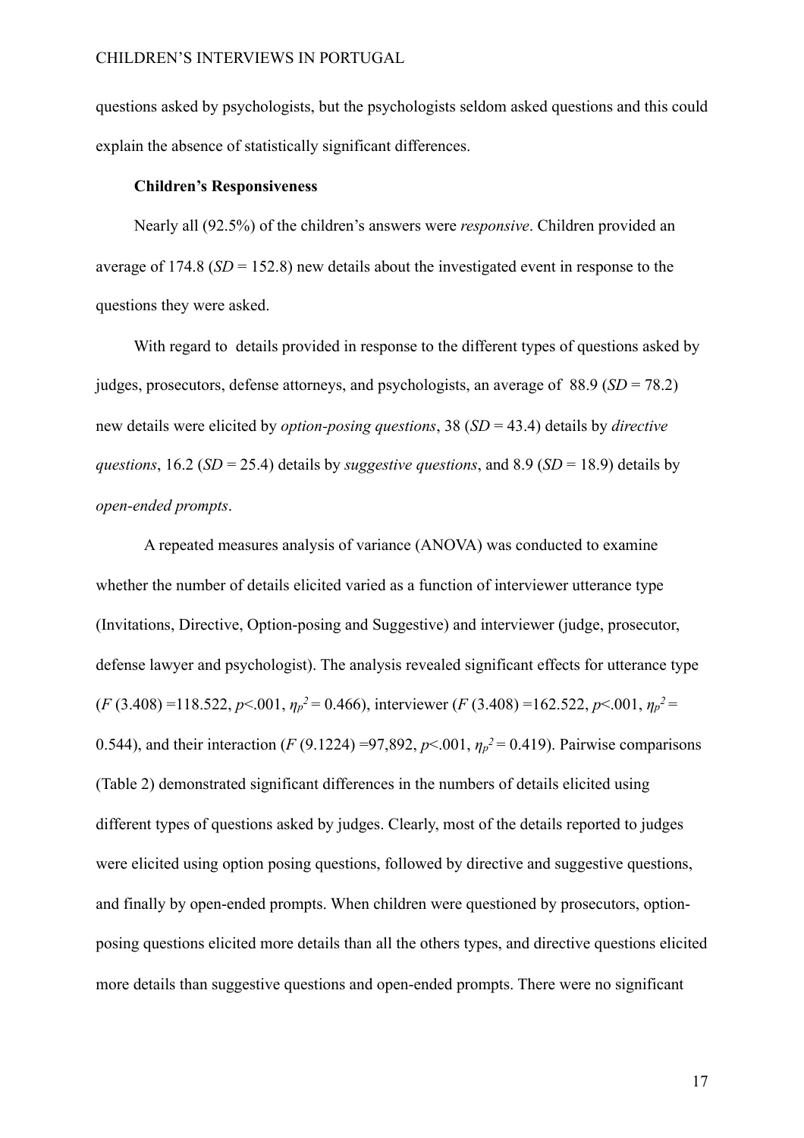questions asked by psychologists, but the psychologists seldom asked questions and this could explain the absence of statistically significant differences.

#### **Children's Responsiveness**

 Nearly all (92.5%) of the children's answers were *responsive*. Children provided an average of 174.8 (*SD* = 152.8) new details about the investigated event in response to the questions they were asked.

With regard to details provided in response to the different types of questions asked by judges, prosecutors, defense attorneys, and psychologists, an average of 88.9 (*SD* = 78.2) new details were elicited by *option-posing questions*, 38 (*SD* = 43.4) details by *directive questions*, 16.2 (*SD* = 25.4) details by *suggestive questions*, and 8.9 (*SD* = 18.9) details by *open-ended prompts*.

 A repeated measures analysis of variance (ANOVA) was conducted to examine whether the number of details elicited varied as a function of interviewer utterance type (Invitations, Directive, Option-posing and Suggestive) and interviewer (judge, prosecutor, defense lawyer and psychologist). The analysis revealed significant effects for utterance type  $(F (3.408) = 118.522, p < 0.01, \eta_p^2 = 0.466)$ , interviewer  $(F (3.408) = 162.522, p < 0.01, \eta_p^2 =$ 0.544), and their interaction (*F* (9.1224) =97,892,  $p$ <.001,  $\eta_p^2$  = 0.419). Pairwise comparisons (Table 2) demonstrated significant differences in the numbers of details elicited using different types of questions asked by judges. Clearly, most of the details reported to judges were elicited using option posing questions, followed by directive and suggestive questions, and finally by open-ended prompts. When children were questioned by prosecutors, optionposing questions elicited more details than all the others types, and directive questions elicited more details than suggestive questions and open-ended prompts. There were no significant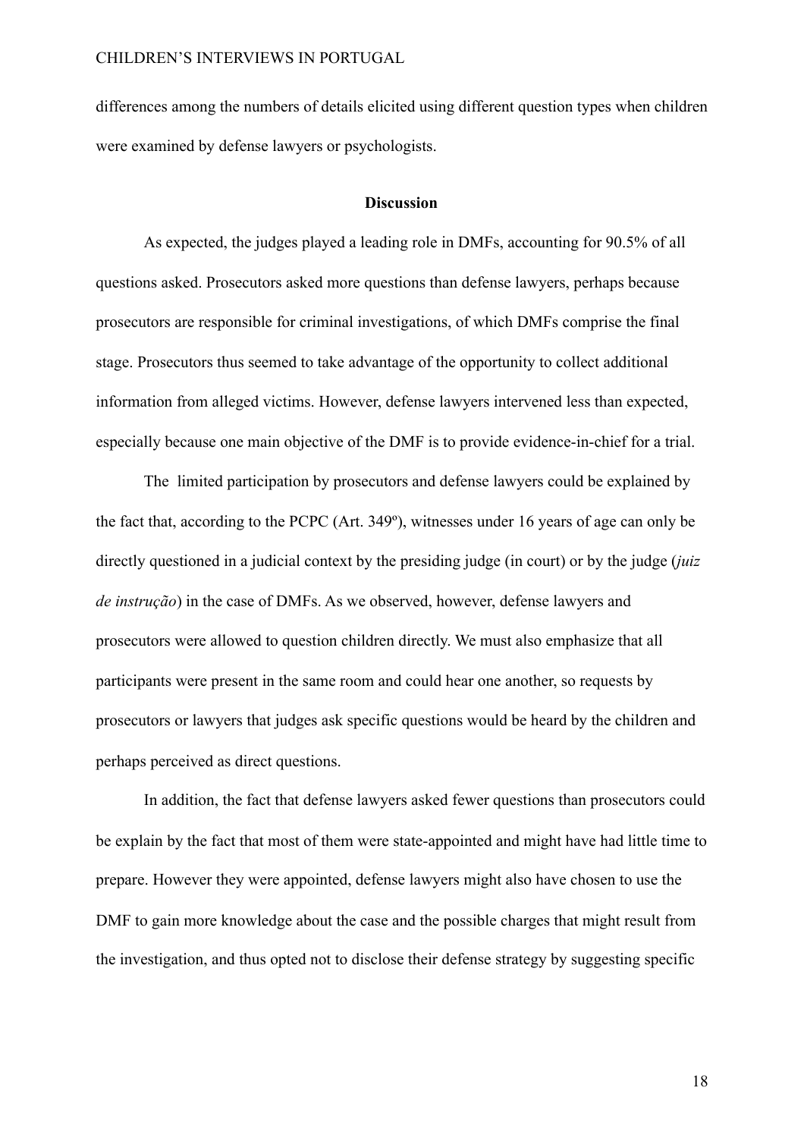differences among the numbers of details elicited using different question types when children were examined by defense lawyers or psychologists.

#### **Discussion**

 As expected, the judges played a leading role in DMFs, accounting for 90.5% of all questions asked. Prosecutors asked more questions than defense lawyers, perhaps because prosecutors are responsible for criminal investigations, of which DMFs comprise the final stage. Prosecutors thus seemed to take advantage of the opportunity to collect additional information from alleged victims. However, defense lawyers intervened less than expected, especially because one main objective of the DMF is to provide evidence-in-chief for a trial.

 The limited participation by prosecutors and defense lawyers could be explained by the fact that, according to the PCPC (Art. 349º), witnesses under 16 years of age can only be directly questioned in a judicial context by the presiding judge (in court) or by the judge (*juiz de instrução*) in the case of DMFs. As we observed, however, defense lawyers and prosecutors were allowed to question children directly. We must also emphasize that all participants were present in the same room and could hear one another, so requests by prosecutors or lawyers that judges ask specific questions would be heard by the children and perhaps perceived as direct questions.

 In addition, the fact that defense lawyers asked fewer questions than prosecutors could be explain by the fact that most of them were state-appointed and might have had little time to prepare. However they were appointed, defense lawyers might also have chosen to use the DMF to gain more knowledge about the case and the possible charges that might result from the investigation, and thus opted not to disclose their defense strategy by suggesting specific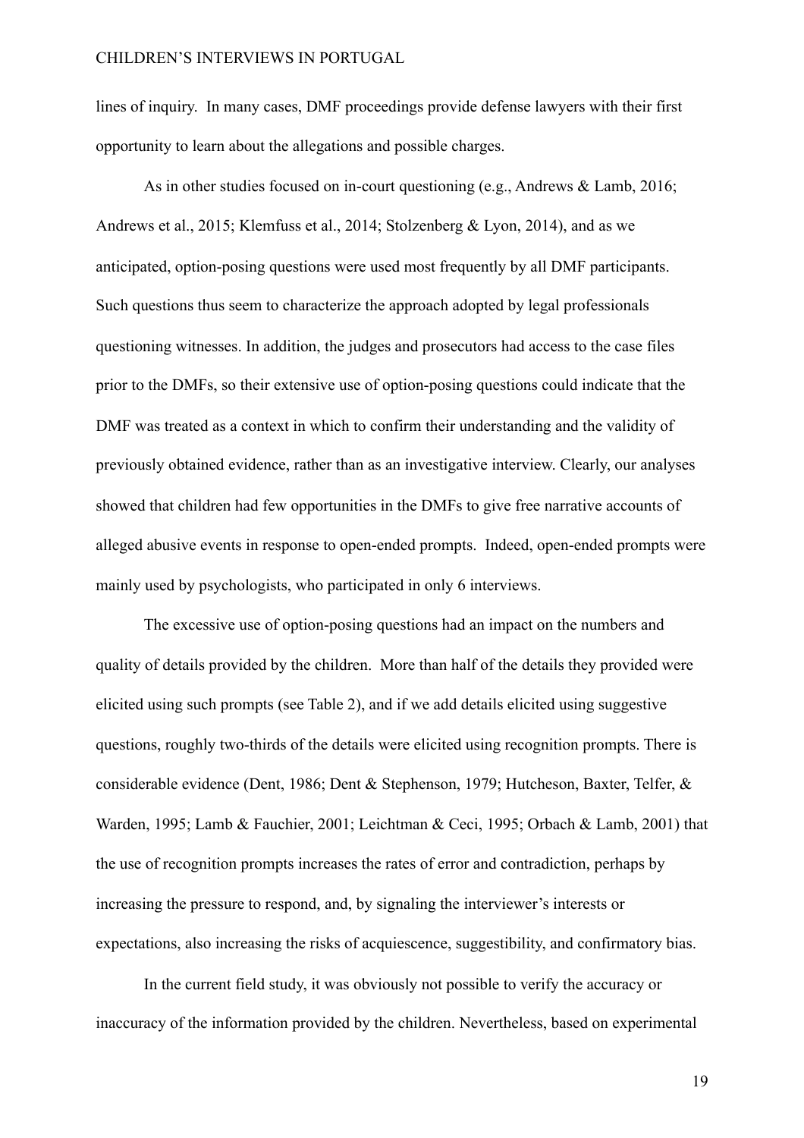lines of inquiry. In many cases, DMF proceedings provide defense lawyers with their first opportunity to learn about the allegations and possible charges.

As in other studies focused on in-court questioning (e.g., Andrews & Lamb, 2016; Andrews et al., 2015; Klemfuss et al., 2014; Stolzenberg & Lyon, 2014), and as we anticipated, option-posing questions were used most frequently by all DMF participants. Such questions thus seem to characterize the approach adopted by legal professionals questioning witnesses. In addition, the judges and prosecutors had access to the case files prior to the DMFs, so their extensive use of option-posing questions could indicate that the DMF was treated as a context in which to confirm their understanding and the validity of previously obtained evidence, rather than as an investigative interview. Clearly, our analyses showed that children had few opportunities in the DMFs to give free narrative accounts of alleged abusive events in response to open-ended prompts. Indeed, open-ended prompts were mainly used by psychologists, who participated in only 6 interviews.

 The excessive use of option-posing questions had an impact on the numbers and quality of details provided by the children. More than half of the details they provided were elicited using such prompts (see Table 2), and if we add details elicited using suggestive questions, roughly two-thirds of the details were elicited using recognition prompts. There is considerable evidence (Dent, 1986; Dent & Stephenson, 1979; Hutcheson, Baxter, Telfer, & Warden, 1995; Lamb & Fauchier, 2001; Leichtman & Ceci, 1995; Orbach & Lamb, 2001) that the use of recognition prompts increases the rates of error and contradiction, perhaps by increasing the pressure to respond, and, by signaling the interviewer's interests or expectations, also increasing the risks of acquiescence, suggestibility, and confirmatory bias.

 In the current field study, it was obviously not possible to verify the accuracy or inaccuracy of the information provided by the children. Nevertheless, based on experimental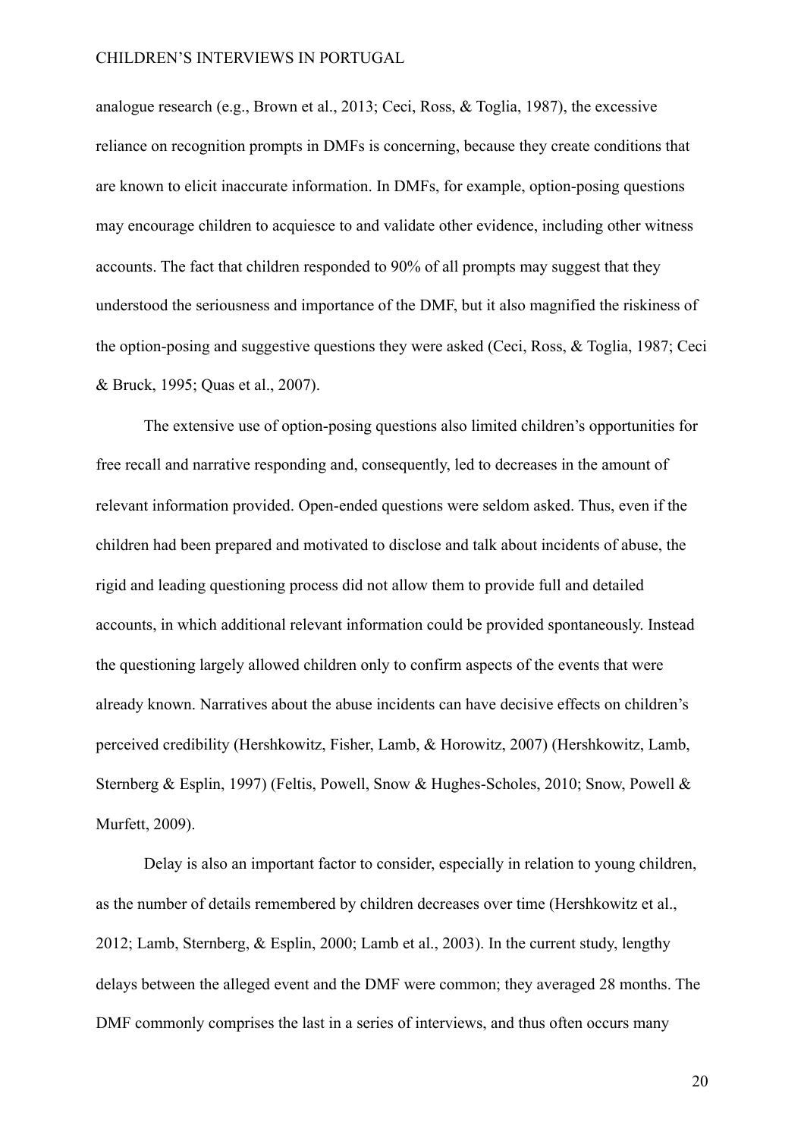analogue research (e.g., Brown et al., 2013; Ceci, Ross, & Toglia, 1987), the excessive reliance on recognition prompts in DMFs is concerning, because they create conditions that are known to elicit inaccurate information. In DMFs, for example, option-posing questions may encourage children to acquiesce to and validate other evidence, including other witness accounts. The fact that children responded to 90% of all prompts may suggest that they understood the seriousness and importance of the DMF, but it also magnified the riskiness of the option-posing and suggestive questions they were asked (Ceci, Ross, & Toglia, 1987; Ceci & Bruck, 1995; Quas et al., 2007).

 The extensive use of option-posing questions also limited children's opportunities for free recall and narrative responding and, consequently, led to decreases in the amount of relevant information provided. Open-ended questions were seldom asked. Thus, even if the children had been prepared and motivated to disclose and talk about incidents of abuse, the rigid and leading questioning process did not allow them to provide full and detailed accounts, in which additional relevant information could be provided spontaneously. Instead the questioning largely allowed children only to confirm aspects of the events that were already known. Narratives about the abuse incidents can have decisive effects on children's perceived credibility (Hershkowitz, Fisher, Lamb, & Horowitz, 2007) (Hershkowitz, Lamb, Sternberg & Esplin, 1997) (Feltis, Powell, Snow & Hughes-Scholes, 2010; Snow, Powell & Murfett, 2009).

 Delay is also an important factor to consider, especially in relation to young children, as the number of details remembered by children decreases over time (Hershkowitz et al., 2012; Lamb, Sternberg, & Esplin, 2000; Lamb et al., 2003). In the current study, lengthy delays between the alleged event and the DMF were common; they averaged 28 months. The DMF commonly comprises the last in a series of interviews, and thus often occurs many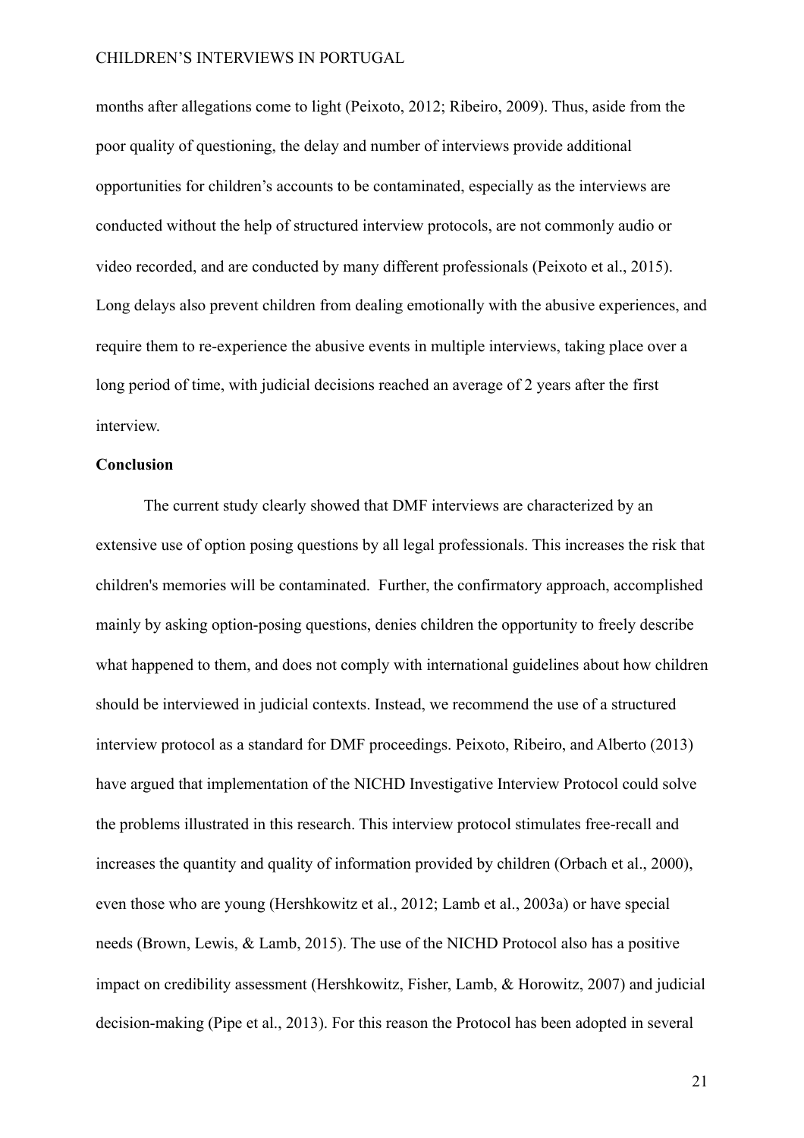months after allegations come to light (Peixoto, 2012; Ribeiro, 2009). Thus, aside from the poor quality of questioning, the delay and number of interviews provide additional opportunities for children's accounts to be contaminated, especially as the interviews are conducted without the help of structured interview protocols, are not commonly audio or video recorded, and are conducted by many different professionals (Peixoto et al., 2015). Long delays also prevent children from dealing emotionally with the abusive experiences, and require them to re-experience the abusive events in multiple interviews, taking place over a long period of time, with judicial decisions reached an average of 2 years after the first interview.

#### **Conclusion**

 The current study clearly showed that DMF interviews are characterized by an extensive use of option posing questions by all legal professionals. This increases the risk that children's memories will be contaminated. Further, the confirmatory approach, accomplished mainly by asking option-posing questions, denies children the opportunity to freely describe what happened to them, and does not comply with international guidelines about how children should be interviewed in judicial contexts. Instead, we recommend the use of a structured interview protocol as a standard for DMF proceedings. Peixoto, Ribeiro, and Alberto (2013) have argued that implementation of the NICHD Investigative Interview Protocol could solve the problems illustrated in this research. This interview protocol stimulates free-recall and increases the quantity and quality of information provided by children (Orbach et al., 2000), even those who are young (Hershkowitz et al., 2012; Lamb et al., 2003a) or have special needs (Brown, Lewis, & Lamb, 2015). The use of the NICHD Protocol also has a positive impact on credibility assessment (Hershkowitz, Fisher, Lamb, & Horowitz, 2007) and judicial decision-making (Pipe et al., 2013). For this reason the Protocol has been adopted in several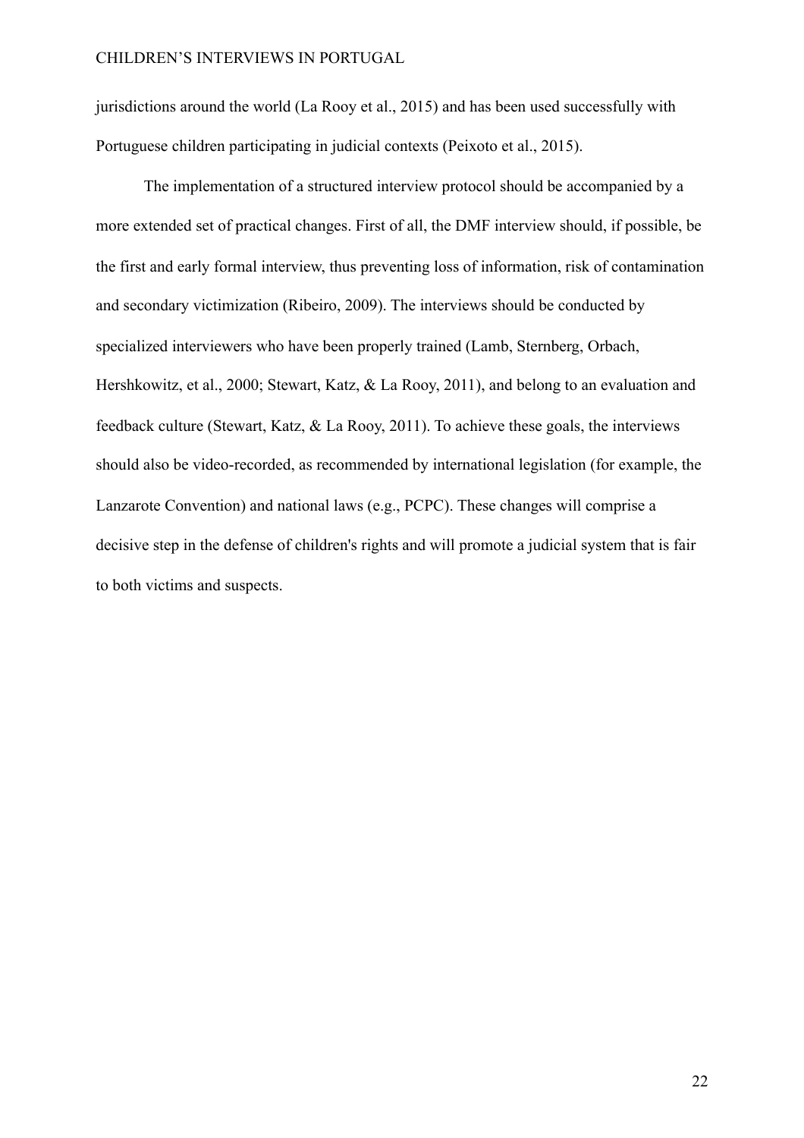jurisdictions around the world (La Rooy et al., 2015) and has been used successfully with Portuguese children participating in judicial contexts (Peixoto et al., 2015).

 The implementation of a structured interview protocol should be accompanied by a more extended set of practical changes. First of all, the DMF interview should, if possible, be the first and early formal interview, thus preventing loss of information, risk of contamination and secondary victimization (Ribeiro, 2009). The interviews should be conducted by specialized interviewers who have been properly trained (Lamb, Sternberg, Orbach, Hershkowitz, et al., 2000; Stewart, Katz, & La Rooy, 2011), and belong to an evaluation and feedback culture (Stewart, Katz, & La Rooy, 2011). To achieve these goals, the interviews should also be video-recorded, as recommended by international legislation (for example, the Lanzarote Convention) and national laws (e.g., PCPC). These changes will comprise a decisive step in the defense of children's rights and will promote a judicial system that is fair to both victims and suspects.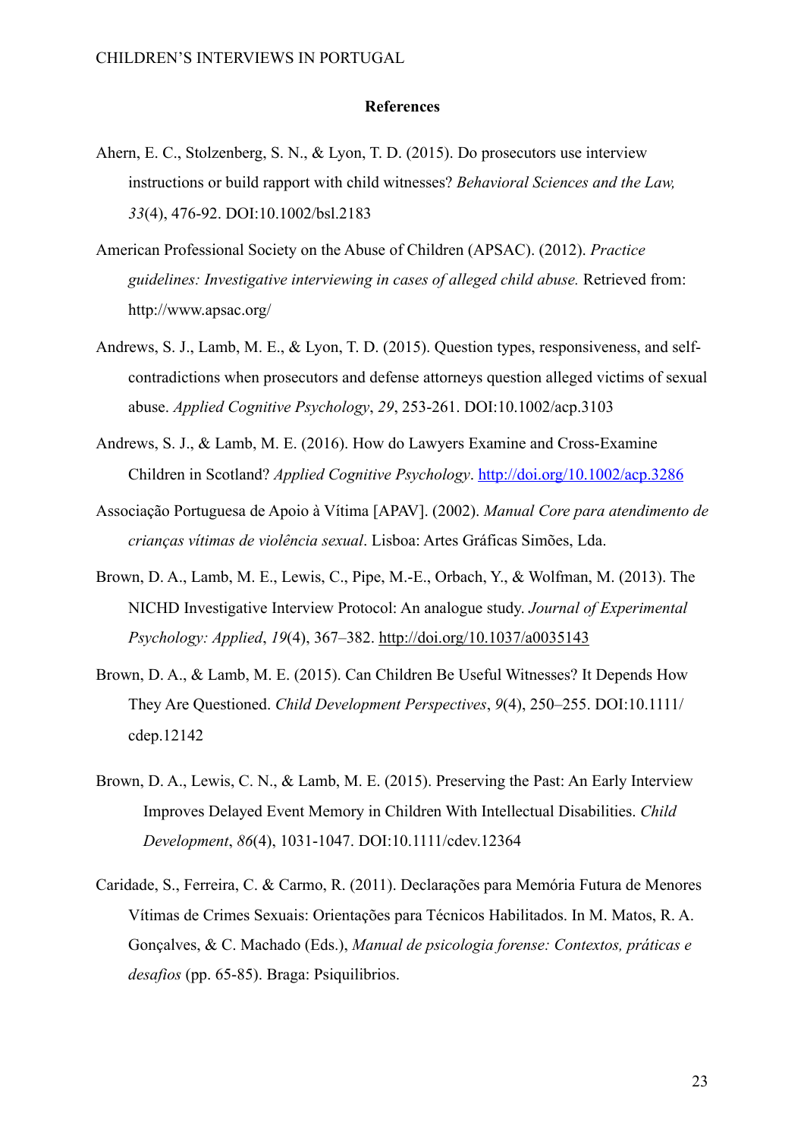#### **References**

- Ahern, E. C., Stolzenberg, S. N., & Lyon, T. D. (2015). Do prosecutors use interview instructions or build rapport with child witnesses? *Behavioral Sciences and the Law, 33*(4), 476-92. DOI:10.1002/bsl.2183
- American Professional Society on the Abuse of Children (APSAC). (2012). *Practice guidelines: Investigative interviewing in cases of alleged child abuse.* Retrieved from: http://www.apsac.org/
- Andrews, S. J., Lamb, M. E., & Lyon, T. D. (2015). Question types, responsiveness, and selfcontradictions when prosecutors and defense attorneys question alleged victims of sexual abuse. *Applied Cognitive Psychology*, *29*, 253-261. DOI:10.1002/acp.3103
- Andrews, S. J., & Lamb, M. E. (2016). How do Lawyers Examine and Cross-Examine Children in Scotland? *Applied Cognitive Psychology*. <http://doi.org/10.1002/acp.3286>
- Associação Portuguesa de Apoio à Vítima [APAV]. (2002). *Manual Core para atendimento de crianças vítimas de violência sexual*. Lisboa: Artes Gráficas Simões, Lda.
- Brown, D. A., Lamb, M. E., Lewis, C., Pipe, M.-E., Orbach, Y., & Wolfman, M. (2013). The NICHD Investigative Interview Protocol: An analogue study. *Journal of Experimental Psychology: Applied*, *19*(4), 367–382.<http://doi.org/10.1037/a0035143>
- Brown, D. A., & Lamb, M. E. (2015). Can Children Be Useful Witnesses? It Depends How They Are Questioned. *Child Development Perspectives*, *9*(4), 250–255. DOI:10.1111/ cdep.12142
- Brown, D. A., Lewis, C. N., & Lamb, M. E. (2015). Preserving the Past: An Early Interview Improves Delayed Event Memory in Children With Intellectual Disabilities. *Child Development*, *86*(4), 1031-1047. DOI:10.1111/cdev.12364
- Caridade, S., Ferreira, C. & Carmo, R. (2011). Declarações para Memória Futura de Menores Vítimas de Crimes Sexuais: Orientações para Técnicos Habilitados. In M. Matos, R. A. Gonçalves, & C. Machado (Eds.), *Manual de psicologia forense: Contextos, práticas e desafios* (pp. 65-85). Braga: Psiquilibrios.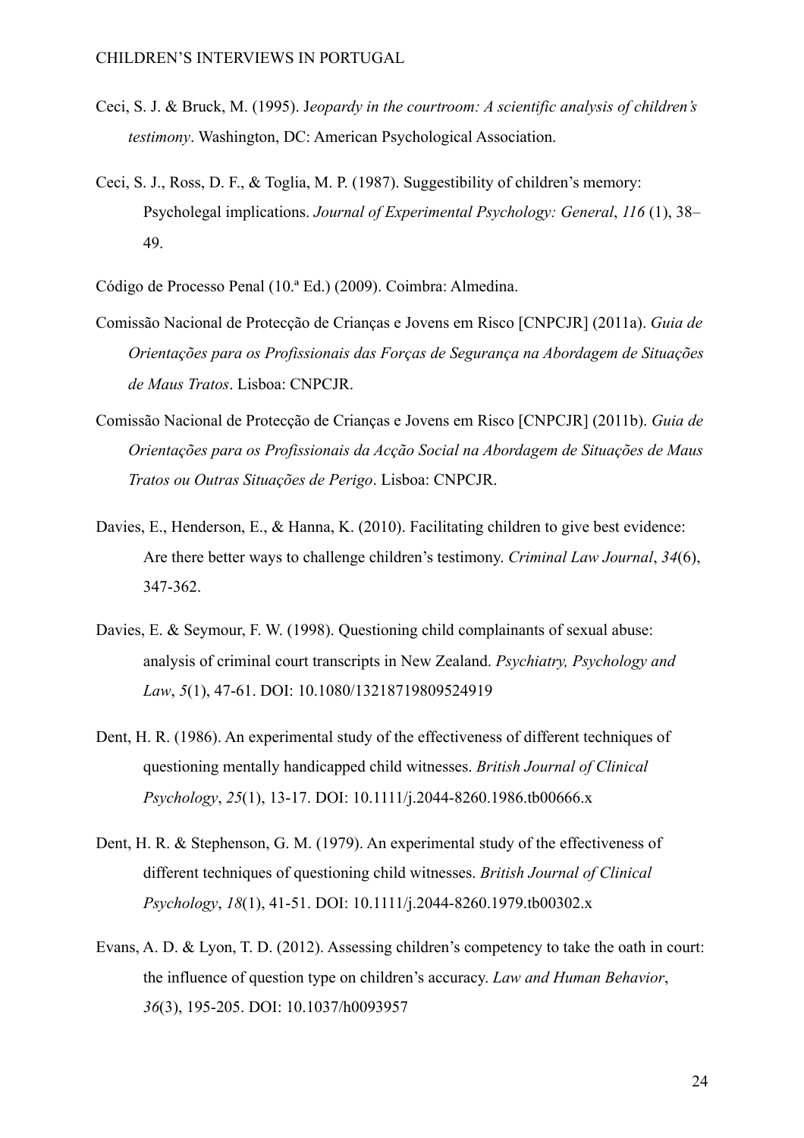- Ceci, S. J. & Bruck, M. (1995). J*eopardy in the courtroom: A scientific analysis of children's testimony*. Washington, DC: American Psychological Association.
- Ceci, S. J., Ross, D. F., & Toglia, M. P. (1987). Suggestibility of children's memory: Psycholegal implications. *Journal of Experimental Psychology: General*, *116* (1), 38– 49.

Código de Processo Penal (10.ª Ed.) (2009). Coimbra: Almedina.

- Comissão Nacional de Protecção de Crianças e Jovens em Risco [CNPCJR] (2011a). *Guia de Orientações para os Profissionais das Forças de Segurança na Abordagem de Situações de Maus Tratos*. Lisboa: CNPCJR.
- Comissão Nacional de Protecção de Crianças e Jovens em Risco [CNPCJR] (2011b). *Guia de Orientações para os Profissionais da Acção Social na Abordagem de Situações de Maus Tratos ou Outras Situações de Perigo*. Lisboa: CNPCJR.
- Davies, E., Henderson, E., & Hanna, K. (2010). Facilitating children to give best evidence: Are there better ways to challenge children's testimony. *Criminal Law Journal*, *34*(6), 347-362.
- Davies, E. & Seymour, F. W. (1998). Questioning child complainants of sexual abuse: analysis of criminal court transcripts in New Zealand. *Psychiatry, Psychology and Law*, *5*(1), 47-61. DOI: 10.1080/13218719809524919
- Dent, H. R. (1986). An experimental study of the effectiveness of different techniques of questioning mentally handicapped child witnesses. *British Journal of Clinical Psychology*, *25*(1), 13-17. DOI: 10.1111/j.2044-8260.1986.tb00666.x
- Dent, H. R. & Stephenson, G. M. (1979). An experimental study of the effectiveness of different techniques of questioning child witnesses. *British Journal of Clinical Psychology*, *18*(1), 41-51. DOI: 10.1111/j.2044-8260.1979.tb00302.x
- Evans, A. D. & Lyon, T. D. (2012). Assessing children's competency to take the oath in court: the influence of question type on children's accuracy. *Law and Human Behavior*, *36*(3), 195-205. DOI: 10.1037/h0093957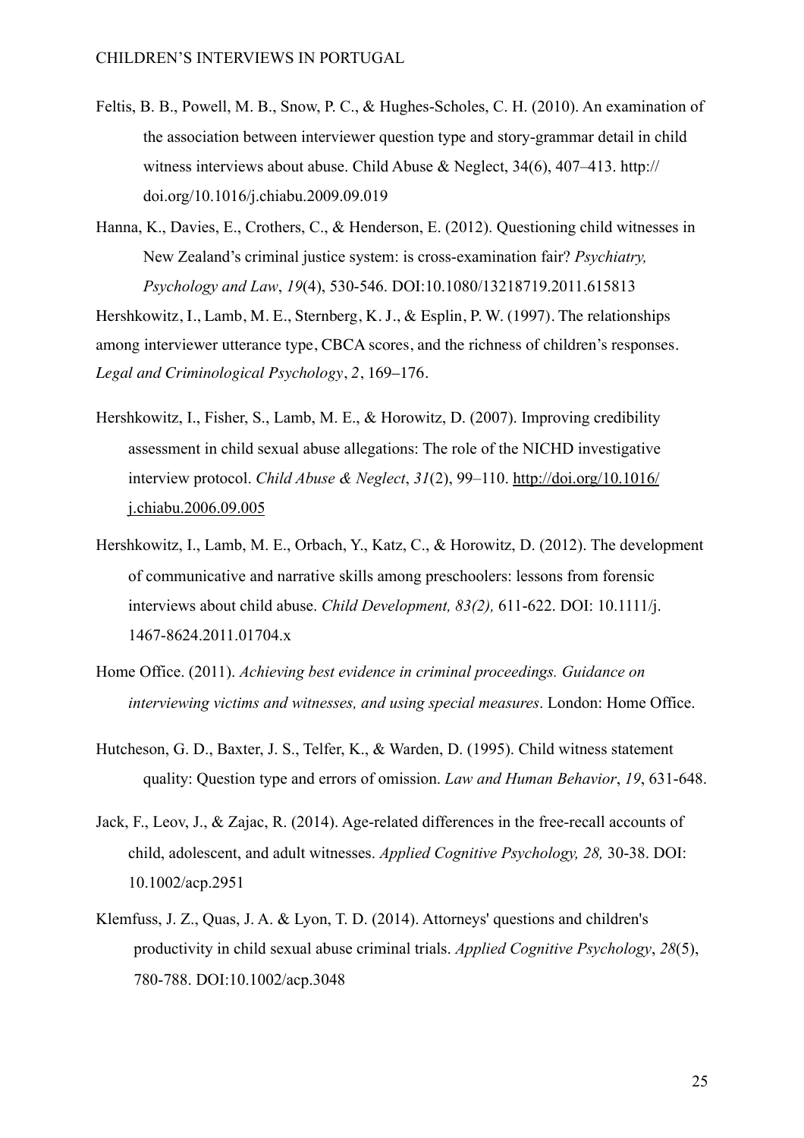- Feltis, B. B., Powell, M. B., Snow, P. C., & Hughes-Scholes, C. H. (2010). An examination of the association between interviewer question type and story-grammar detail in child witness interviews about abuse. Child Abuse & Neglect, 34(6), 407–413. http:// doi.org/10.1016/j.chiabu.2009.09.019
- Hanna, K., Davies, E., Crothers, C., & Henderson, E. (2012). Questioning child witnesses in New Zealand's criminal justice system: is cross-examination fair? *Psychiatry, Psychology and Law*, *19*(4), 530-546. DOI:10.1080/13218719.2011.615813

Hershkowitz, I., Lamb, M. E., Sternberg, K. J., & Esplin, P. W. (1997). The relationships among interviewer utterance type, CBCA scores, and the richness of children's responses. *Legal and Criminological Psychology*, *2*, 169–176.

- Hershkowitz, I., Fisher, S., Lamb, M. E., & Horowitz, D. (2007). Improving credibility assessment in child sexual abuse allegations: The role of the NICHD investigative interview protocol. *Child Abuse & Neglect*, *31*[\(2\), 99–110. http://doi.org/10.1016/](http://doi.org/10.1016/j.chiabu.2006.09.005) j.chiabu.2006.09.005
- Hershkowitz, I., Lamb, M. E., Orbach, Y., Katz, C., & Horowitz, D. (2012). The development of communicative and narrative skills among preschoolers: lessons from forensic interviews about child abuse. *Child Development, 83(2),* 611-622. DOI: 10.1111/j. 1467-8624.2011.01704.x
- Home Office. (2011). *Achieving best evidence in criminal proceedings. Guidance on interviewing victims and witnesses, and using special measures*. London: Home Office.
- Hutcheson, G. D., Baxter, J. S., Telfer, K., & Warden, D. (1995). Child witness statement quality: Question type and errors of omission. *Law and Human Behavior*, *19*, 631-648.
- Jack, F., Leov, J., & Zajac, R. (2014). Age-related differences in the free-recall accounts of child, adolescent, and adult witnesses. *Applied Cognitive Psychology, 28,* 30-38. DOI: 10.1002/acp.2951
- Klemfuss, J. Z., Quas, J. A. & Lyon, T. D. (2014). Attorneys' questions and children's productivity in child sexual abuse criminal trials. *Applied Cognitive Psychology*, *28*(5), 780-788. DOI:10.1002/acp.3048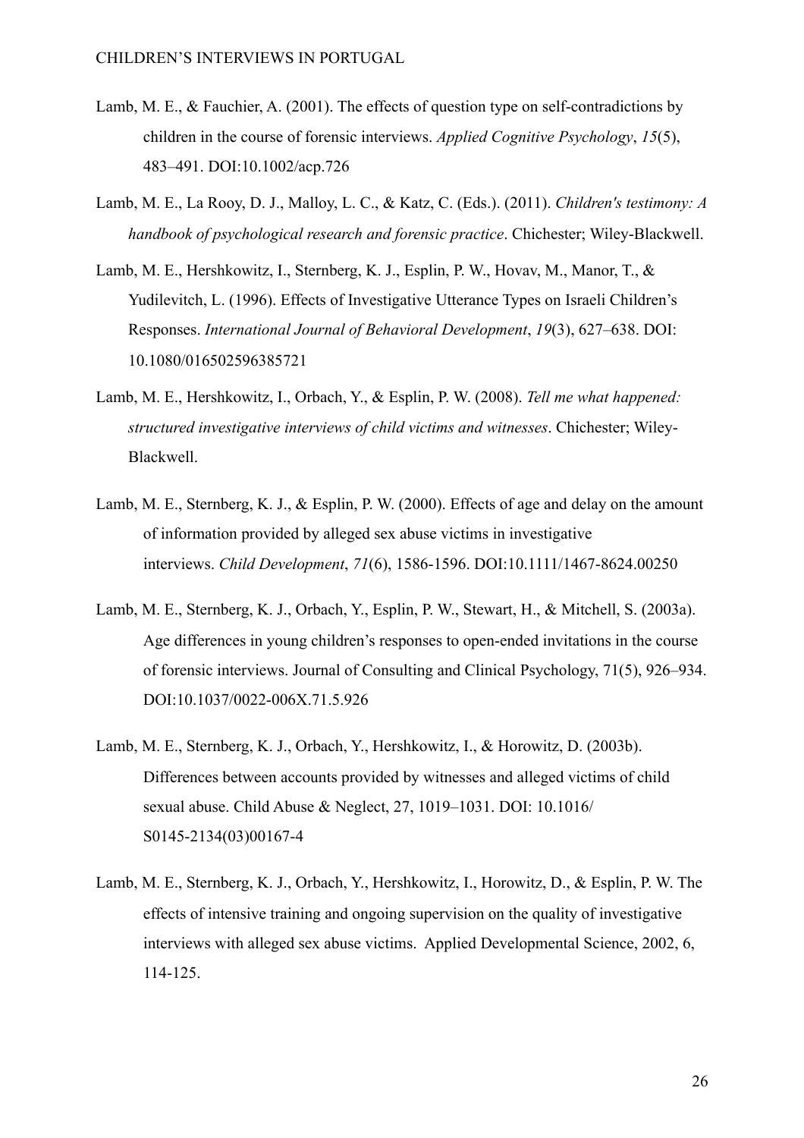- Lamb, M. E., & Fauchier, A. (2001). The effects of question type on self-contradictions by children in the course of forensic interviews. *Applied Cognitive Psychology*, *15*(5), 483–491. DOI:10.1002/acp.726
- Lamb, M. E., La Rooy, D. J., Malloy, L. C., & Katz, C. (Eds.). (2011). *Children's testimony: A handbook of psychological research and forensic practice*. Chichester; Wiley-Blackwell.
- Lamb, M. E., Hershkowitz, I., Sternberg, K. J., Esplin, P. W., Hovav, M., Manor, T., & Yudilevitch, L. (1996). Effects of Investigative Utterance Types on Israeli Children's Responses. *International Journal of Behavioral Development*, *19*(3), 627–638. DOI: 10.1080/016502596385721
- Lamb, M. E., Hershkowitz, I., Orbach, Y., & Esplin, P. W. (2008). *Tell me what happened: structured investigative interviews of child victims and witnesses*. Chichester; Wiley-Blackwell.
- Lamb, M. E., Sternberg, K. J., & Esplin, P. W. (2000). Effects of age and delay on the amount of information provided by alleged sex abuse victims in investigative interviews. *Child Development*, *71*(6), 1586-1596. DOI:10.1111/1467-8624.00250
- Lamb, M. E., Sternberg, K. J., Orbach, Y., Esplin, P. W., Stewart, H., & Mitchell, S. (2003a). Age differences in young children's responses to open-ended invitations in the course of forensic interviews. Journal of Consulting and Clinical Psychology, 71(5), 926–934. DOI:10.1037/0022-006X.71.5.926
- Lamb, M. E., Sternberg, K. J., Orbach, Y., Hershkowitz, I., & Horowitz, D. (2003b). Differences between accounts provided by witnesses and alleged victims of child sexual abuse. Child Abuse & Neglect, 27, 1019–1031. DOI: 10.1016/ S0145-2134(03)00167-4
- Lamb, M. E., Sternberg, K. J., Orbach, Y., Hershkowitz, I., Horowitz, D., & Esplin, P. W. The effects of intensive training and ongoing supervision on the quality of investigative interviews with alleged sex abuse victims. Applied Developmental Science, 2002, 6, 114-125.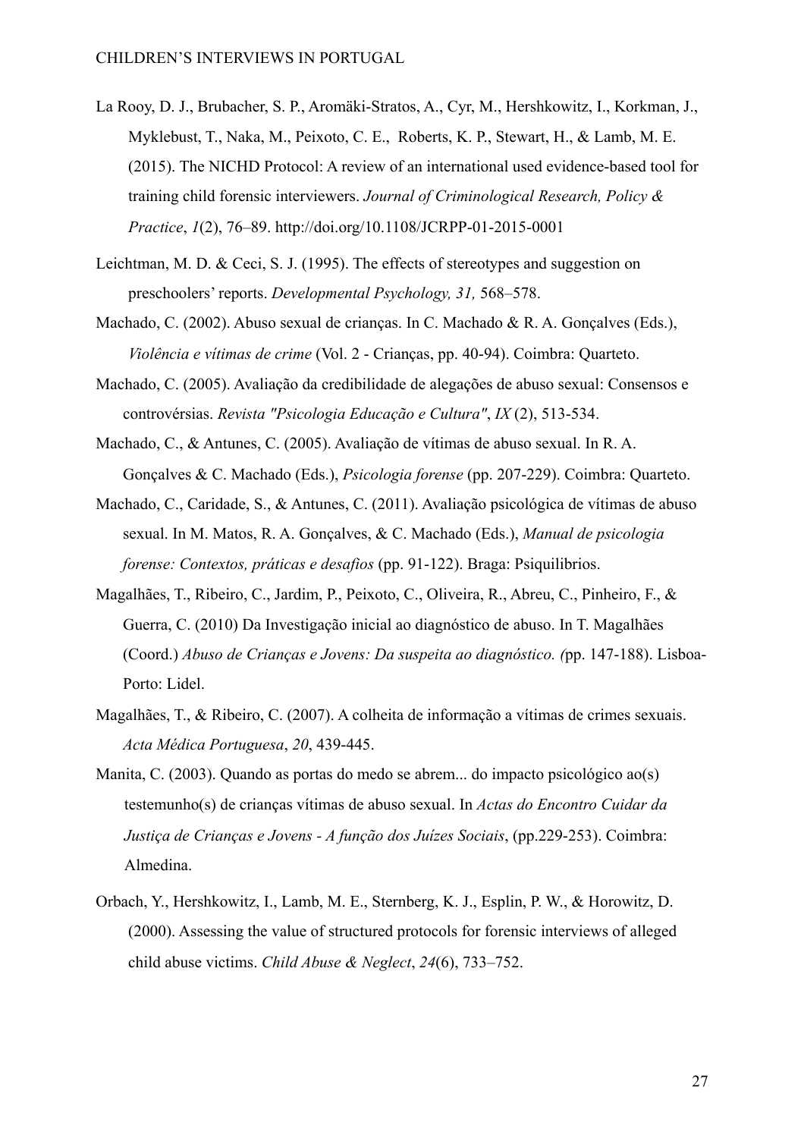- La Rooy, D. J., Brubacher, S. P., Aromäki-Stratos, A., Cyr, M., Hershkowitz, I., Korkman, J., Myklebust, T., Naka, M., Peixoto, C. E., Roberts, K. P., Stewart, H., & Lamb, M. E. (2015). The NICHD Protocol: A review of an international used evidence-based tool for training child forensic interviewers. *Journal of Criminological Research, Policy & Practice*, *1*(2), 76–89. <http://doi.org/10.1108/JCRPP-01-2015-0001>
- Leichtman, M. D. & Ceci, S. J. (1995). The effects of stereotypes and suggestion on preschoolers' reports. *Developmental Psychology, 31,* 568–578.
- Machado, C. (2002). Abuso sexual de crianças. In C. Machado & R. A. Gonçalves (Eds.), *Violência e vítimas de crime* (Vol. 2 - Crianças, pp. 40-94). Coimbra: Quarteto.
- Machado, C. (2005). Avaliação da credibilidade de alegações de abuso sexual: Consensos e controvérsias. *Revista "Psicologia Educação e Cultura"*, *IX* (2), 513-534.
- Machado, C., & Antunes, C. (2005). Avaliação de vítimas de abuso sexual. In R. A. Gonçalves & C. Machado (Eds.), *Psicologia forense* (pp. 207-229). Coimbra: Quarteto.
- Machado, C., Caridade, S., & Antunes, C. (2011). Avaliação psicológica de vítimas de abuso sexual. In M. Matos, R. A. Gonçalves, & C. Machado (Eds.), *Manual de psicologia forense: Contextos, práticas e desafios* (pp. 91-122). Braga: Psiquilibrios.
- Magalhães, T., Ribeiro, C., Jardim, P., Peixoto, C., Oliveira, R., Abreu, C., Pinheiro, F., & Guerra, C. (2010) Da Investigação inicial ao diagnóstico de abuso. In T. Magalhães (Coord.) *Abuso de Crianças e Jovens: Da suspeita ao diagnóstico. (*pp. 147-188). Lisboa-Porto: Lidel.
- Magalhães, T., & Ribeiro, C. (2007). A colheita de informação a vítimas de crimes sexuais. *Acta Médica Portuguesa*, *20*, 439-445.
- Manita, C. (2003). Quando as portas do medo se abrem... do impacto psicológico ao(s) testemunho(s) de crianças vítimas de abuso sexual. In *Actas do Encontro Cuidar da Justiça de Crianças e Jovens - A função dos Juízes Sociais*, (pp.229-253). Coimbra: Almedina.
- Orbach, Y., Hershkowitz, I., Lamb, M. E., Sternberg, K. J., Esplin, P. W., & Horowitz, D. (2000). Assessing the value of structured protocols for forensic interviews of alleged child abuse victims. *Child Abuse & Neglect*, *24*(6), 733–752.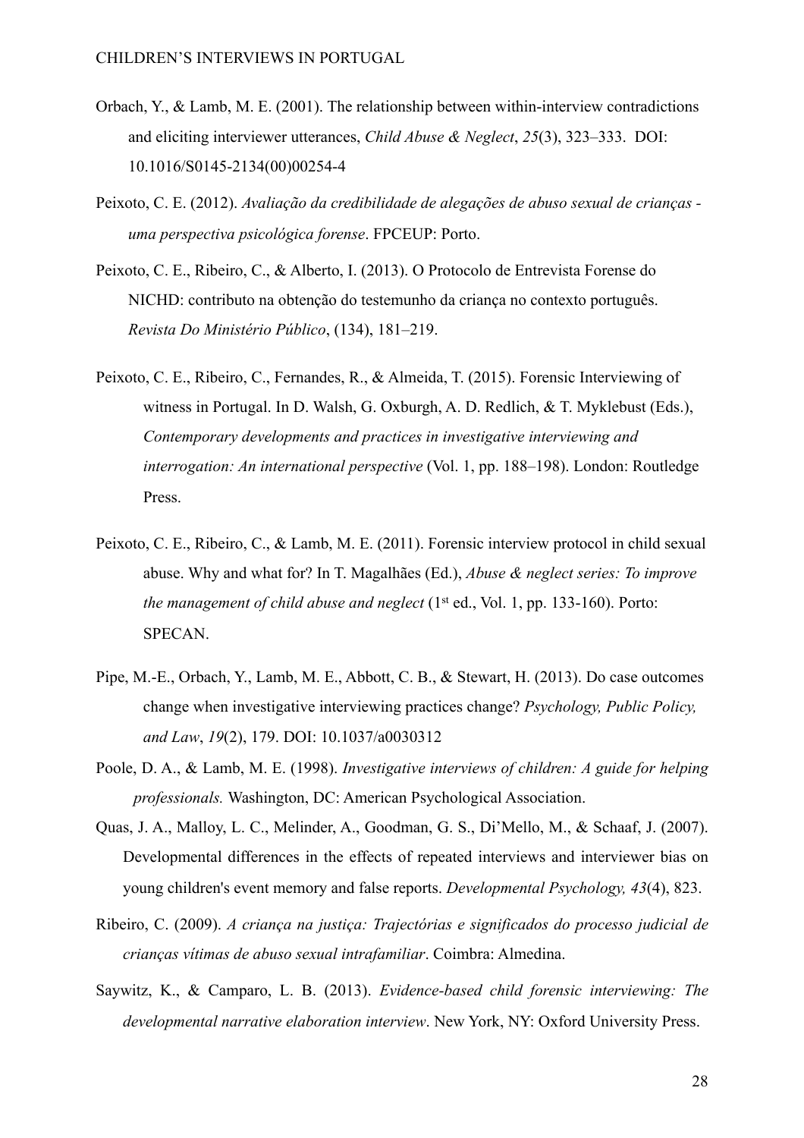- Orbach, Y., & Lamb, M. E. (2001). The relationship between within-interview contradictions [and eliciting interviewer utterances,](http://dx.doi.org/10.1016/S0145-2134(00)00254-4) *Child Abuse & Neglect*, *25*(3), 323–333. DOI: 10.1016/S0145-2134(00)00254-4
- Peixoto, C. E. (2012). *Avaliação da credibilidade de alegações de abuso sexual de crianças uma perspectiva psicológica forense*. FPCEUP: Porto.
- Peixoto, C. E., Ribeiro, C., & Alberto, I. (2013). O Protocolo de Entrevista Forense do NICHD: contributo na obtenção do testemunho da criança no contexto português. *Revista Do Ministério Público*, (134), 181–219.
- Peixoto, C. E., Ribeiro, C., Fernandes, R., & Almeida, T. (2015). Forensic Interviewing of witness in Portugal. In D. Walsh, G. Oxburgh, A. D. Redlich, & T. Myklebust (Eds.), *Contemporary developments and practices in investigative interviewing and interrogation: An international perspective* (Vol. 1, pp. 188–198). London: Routledge Press.
- Peixoto, C. E., Ribeiro, C., & Lamb, M. E. (2011). Forensic interview protocol in child sexual abuse. Why and what for? In T. Magalhães (Ed.), *Abuse & neglect series: To improve the management of child abuse and neglect* (1st ed., Vol. 1, pp. 133-160). Porto: SPECAN.
- Pipe, M.-E., Orbach, Y., Lamb, M. E., Abbott, C. B., & Stewart, H. (2013). Do case outcomes change when investigative interviewing practices change? *Psychology, Public Policy, and Law*, *19*(2), 179. DOI: 10.1037/a0030312
- Poole, D. A., & Lamb, M. E. (1998). *Investigative interviews of children: A guide for helping professionals.* Washington, DC: American Psychological Association.
- Quas, J. A., Malloy, L. C., Melinder, A., Goodman, G. S., Di'Mello, M., & Schaaf, J. (2007). Developmental differences in the effects of repeated interviews and interviewer bias on young children's event memory and false reports. *Developmental Psychology, 43*(4), 823.
- Ribeiro, C. (2009). *A criança na justiça: Trajectórias e significados do processo judicial de crianças vítimas de abuso sexual intrafamiliar*. Coimbra: Almedina.
- Saywitz, K., & Camparo, L. B. (2013). *Evidence-based child forensic interviewing: The developmental narrative elaboration interview*. New York, NY: Oxford University Press.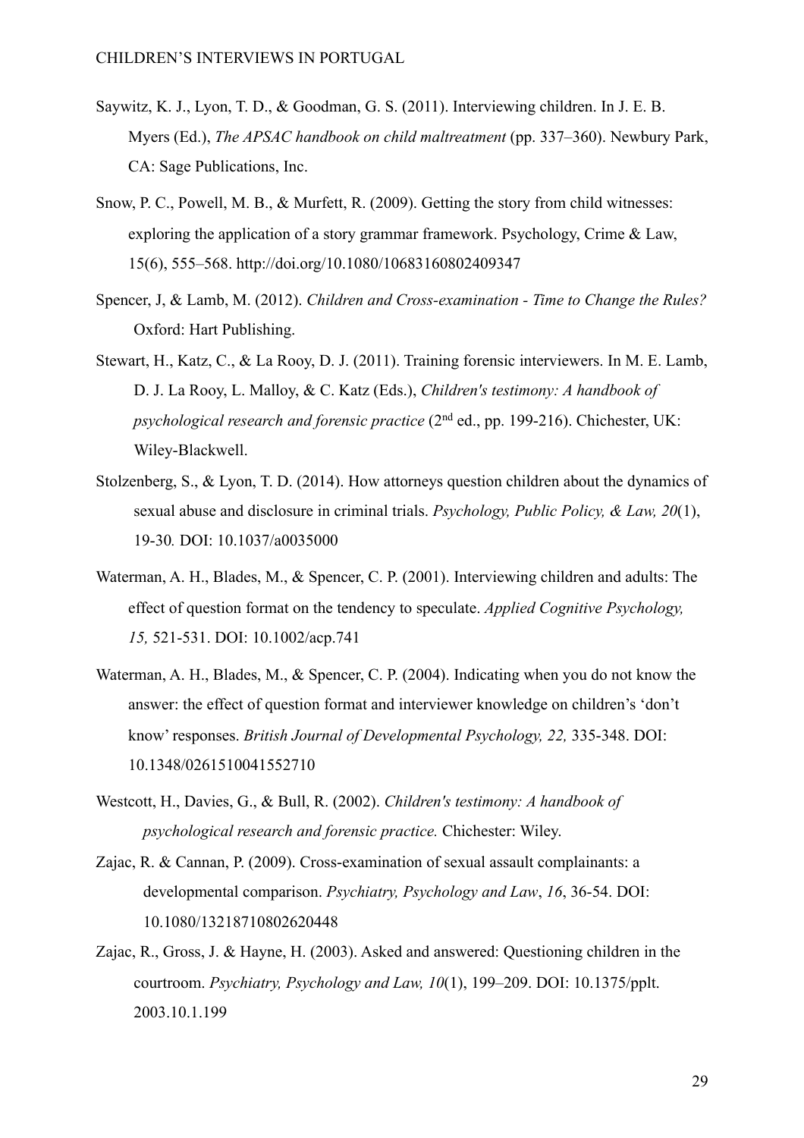- Saywitz, K. J., Lyon, T. D., & Goodman, G. S. (2011). Interviewing children. In J. E. B. Myers (Ed.), *The APSAC handbook on child maltreatment* (pp. 337–360). Newbury Park, CA: Sage Publications, Inc.
- Snow, P. C., Powell, M. B., & Murfett, R. (2009). Getting the story from child witnesses: exploring the application of a story grammar framework. Psychology, Crime & Law, 15(6), 555–568. http://doi.org/10.1080/10683160802409347
- Spencer, J, & Lamb, M. (2012). *Children and Cross-examination Time to Change the Rules?* Oxford: Hart Publishing.
- Stewart, H., Katz, C., & La Rooy, D. J. (2011). Training forensic interviewers. In M. E. Lamb, D. J. La Rooy, L. Malloy, & C. Katz (Eds.), *Children's testimony: A handbook of psychological research and forensic practice* (2nd ed., pp. 199-216). Chichester, UK: Wiley-Blackwell.
- Stolzenberg, S., & Lyon, T. D. (2014). How attorneys question children about the dynamics of sexual abuse and disclosure in criminal trials. *Psychology, Public Policy, & Law, 20*(1), 19-30*.* DOI: 10.1037/a0035000
- Waterman, A. H., Blades, M., & Spencer, C. P. (2001). Interviewing children and adults: The effect of question format on the tendency to speculate. *Applied Cognitive Psychology, 15,* 521-531. DOI: 10.1002/acp.741
- Waterman, A. H., Blades, M., & Spencer, C. P. (2004). Indicating when you do not know the answer: the effect of question format and interviewer knowledge on children's 'don't know' responses. *British Journal of Developmental Psychology, 22,* 335-348. DOI: 10.1348/0261510041552710
- Westcott, H., Davies, G., & Bull, R. (2002). *Children's testimony: A handbook of psychological research and forensic practice.* Chichester: Wiley.
- Zajac, R. & Cannan, P. (2009). Cross-examination of sexual assault complainants: a developmental comparison. *Psychiatry, Psychology and Law*, *16*, 36-54. DOI: 10.1080/13218710802620448
- Zajac, R., Gross, J. & Hayne, H. (2003). Asked and answered: Questioning children in the courtroom. *Psychiatry, Psychology and Law, 10*(1), 199–209. DOI: 10.1375/pplt. 2003.10.1.199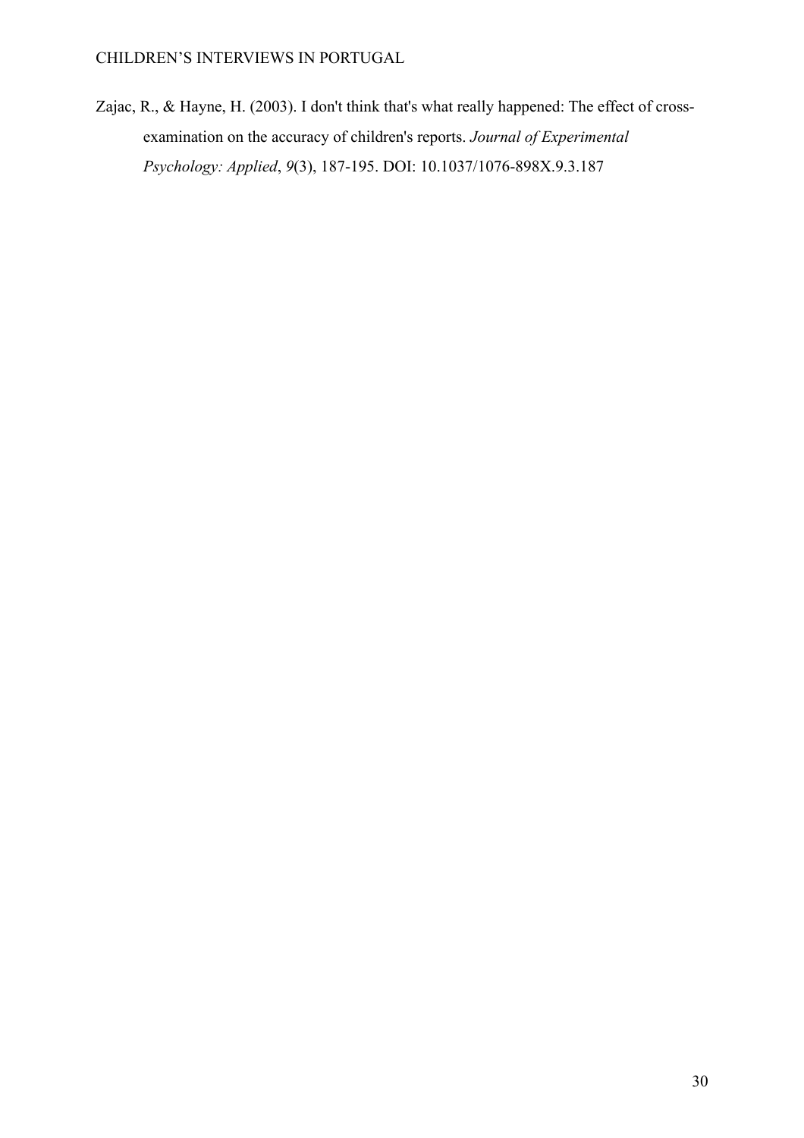Zajac, R., & Hayne, H. (2003). I don't think that's what really happened: The effect of crossexamination on the accuracy of children's reports. *Journal of Experimental Psychology: Applied*, *9*(3), 187-195. DOI: 10.1037/1076-898X.9.3.187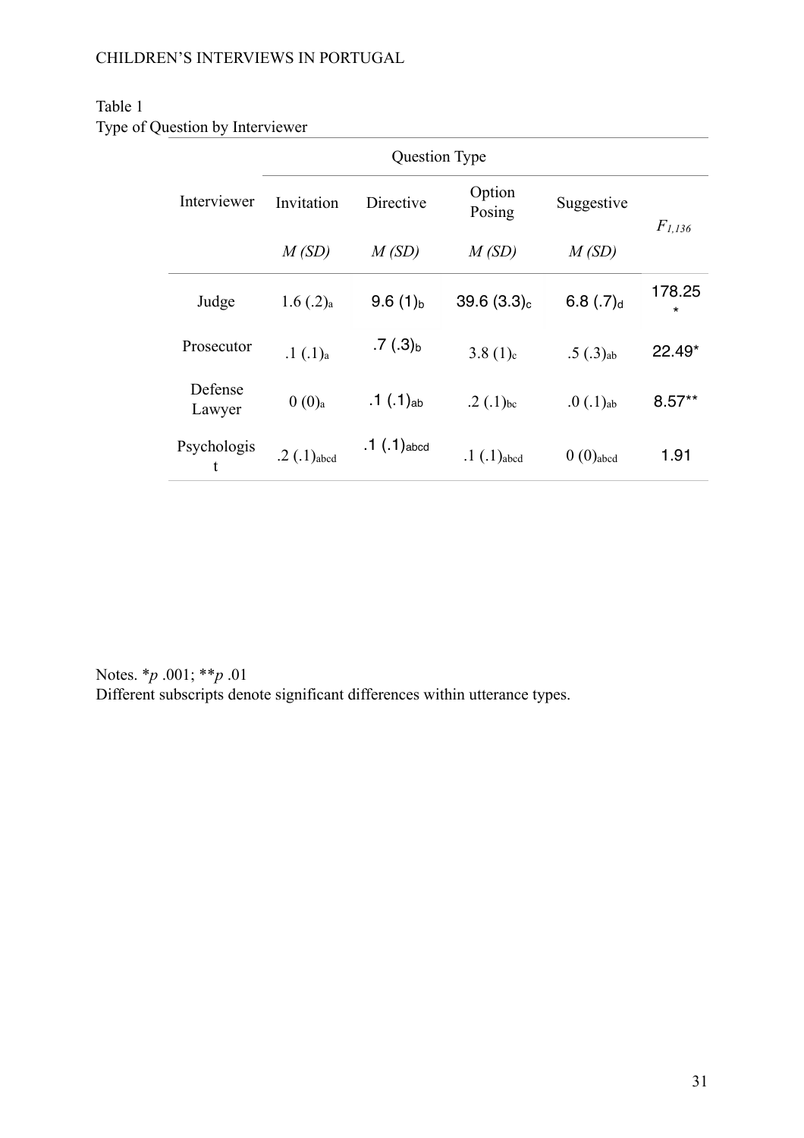## Table 1

Type of Question by Interviewer

|                   | <b>Question Type</b>      |                     |                  |                        |                   |
|-------------------|---------------------------|---------------------|------------------|------------------------|-------------------|
| Interviewer       | Invitation                | Directive           | Option<br>Posing | Suggestive             | $F_{1,136}$       |
|                   | M(SD)                     | M(SD)               | M(SD)            | M(SD)                  |                   |
| Judge             | $1.6$ $(.2)_{a}$          | 9.6(1) <sub>b</sub> | $39.6(3.3)_{c}$  | $6.8(.7)$ d            | 178.25<br>$\star$ |
| Prosecutor        | $.1(.1)_{a}$              | .7 $(.3)_{b}$       | $3.8(1)_{c}$     | $.5(.3)_{ab}$          | 22.49*            |
| Defense<br>Lawyer | $0(0)$ <sub>a</sub>       | .1 $(.1)_{ab}$      | .2 $(.1)_{bc}$   | $.0(.1)_{ab}$          | $8.57**$          |
| Psychologis<br>t  | $.2$ (.1) <sub>abcd</sub> | .1 $( .1)_{abcd}$   | $.1(.1)$ abed    | $0(0)$ <sub>abcd</sub> | 1.91              |

Notes. \**p* .001; \*\**p* .01 Different subscripts denote significant differences within utterance types.